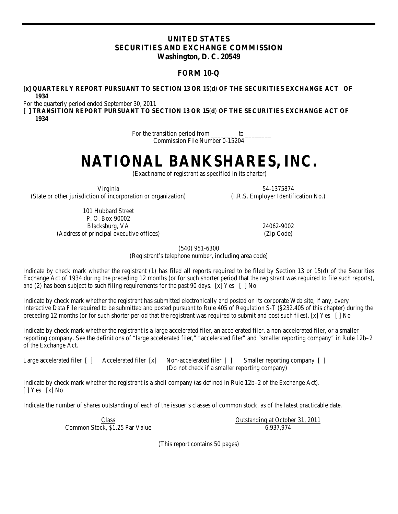# **UNITED STATES SECURITIES AND EXCHANGE COMMISSION Washington, D. C. 20549**

# **FORM 10-Q**

# **[x] QUARTERLY REPORT PURSUANT TO SECTION 13 OR 15**(**d**) **OF THE SECURITIES EXCHANGE ACT OF 1934**

For the quarterly period ended September 30, 2011

**[ ] TRANSITION REPORT PURSUANT TO SECTION 13 OR 15**(**d**) **OF THE SECURITIES EXCHANGE ACT OF 1934**

For the transition period from \_\_\_\_\_\_\_\_\_ to Commission File Number 0-15204

# **NATIONAL BANKSHARES, INC.**

(Exact name of registrant as specified in its charter)

Virginia (State or other jurisdiction of incorporation or organization)

> 101 Hubbard Street P. O. Box 90002 Blacksburg, VA 24062-9002 (Address of principal executive offices) (Zip Code)

54-1375874 (I.R.S. Employer Identification No.)

(540) 951-6300

(Registrant's telephone number, including area code)

Indicate by check mark whether the registrant (1) has filed all reports required to be filed by Section 13 or 15(d) of the Securities Exchange Act of 1934 during the preceding 12 months (or for such shorter period that the registrant was required to file such reports), and (2) has been subject to such filing requirements for the past 90 days. [x] Yes [ ] No

Indicate by check mark whether the registrant has submitted electronically and posted on its corporate Web site, if any, every Interactive Data File required to be submitted and posted pursuant to Rule 405 of Regulation S-T (§232.405 of this chapter) during the preceding 12 months (or for such shorter period that the registrant was required to submit and post such files). [x] Yes  $\lceil \text{No} \rceil$ 

Indicate by check mark whether the registrant is a large accelerated filer, an accelerated filer, a non-accelerated filer, or a smaller reporting company. See the definitions of "large accelerated filer," "accelerated filer" and "smaller reporting company" in Rule 12b–2 of the Exchange Act.

(This report contains 50 pages)

Large accelerated filer [ ] Accelerated filer [ x] Non-accelerated filer [ ] Smaller reporting company [ ] (Do not check if a smaller reporting company)

Indicate by check mark whether the registrant is a shell company (as defined in Rule 12b–2 of the Exchange Act). [ ] Yes [x] No

Indicate the number of shares outstanding of each of the issuer's classes of common stock, as of the latest practicable date.

Class Common Stock, \$1.25 Par Value Outstanding at October 31, 2011 6,937,974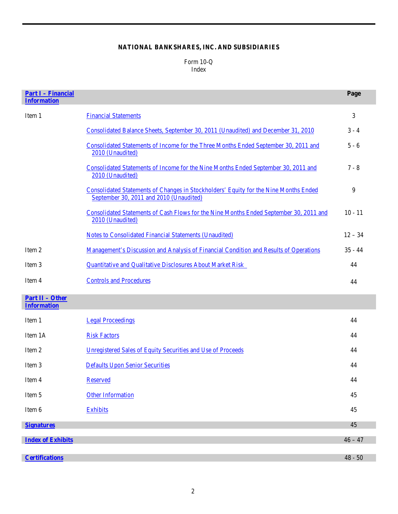# **NATIONAL BANKSHARES, INC. AND SUBSIDIARIES**

# Form 10-Q Index

| <b>Part I - Financial</b><br><b>Information</b> |                                                                                                                                 | Page      |
|-------------------------------------------------|---------------------------------------------------------------------------------------------------------------------------------|-----------|
| Item 1                                          | <b>Financial Statements</b>                                                                                                     | 3         |
|                                                 | Consolidated Balance Sheets, September 30, 2011 (Unaudited) and December 31, 2010                                               | $3 - 4$   |
|                                                 | Consolidated Statements of Income for the Three Months Ended September 30, 2011 and<br>2010 (Unaudited)                         | $5 - 6$   |
|                                                 | Consolidated Statements of Income for the Nine Months Ended September 30, 2011 and<br>2010 (Unaudited)                          | $7 - 8$   |
|                                                 | Consolidated Statements of Changes in Stockholders' Equity for the Nine Months Ended<br>September 30, 2011 and 2010 (Unaudited) | 9         |
|                                                 | Consolidated Statements of Cash Flows for the Nine Months Ended September 30, 2011 and<br>2010 (Unaudited)                      | $10 - 11$ |
|                                                 | <b>Notes to Consolidated Financial Statements (Unaudited)</b>                                                                   | $12 - 34$ |
| Item 2                                          | Management's Discussion and Analysis of Financial Condition and Results of Operations                                           | $35 - 44$ |
| Item 3                                          | <b>Quantitative and Qualitative Disclosures About Market Risk</b>                                                               | 44        |
| Item 4                                          | <b>Controls and Procedures</b>                                                                                                  | 44        |
| <b>Part II - Other</b><br><b>Information</b>    |                                                                                                                                 |           |
| Item 1                                          | <b>Legal Proceedings</b>                                                                                                        | 44        |
| Item 1A                                         | <b>Risk Factors</b>                                                                                                             | 44        |
| Item 2                                          | Unregistered Sales of Equity Securities and Use of Proceeds                                                                     | 44        |
| Item 3                                          | <b>Defaults Upon Senior Securities</b>                                                                                          | 44        |
| Item 4                                          | Reserved                                                                                                                        | 44        |
| Item 5                                          | <b>Other Information</b>                                                                                                        | 45        |
| Item 6                                          | <b>Exhibits</b>                                                                                                                 | 45        |
| <b>Signatures</b>                               |                                                                                                                                 | 45        |
| <b>Index of Exhibits</b>                        |                                                                                                                                 | $46 - 47$ |
| <b>Certifications</b>                           |                                                                                                                                 | $48 - 50$ |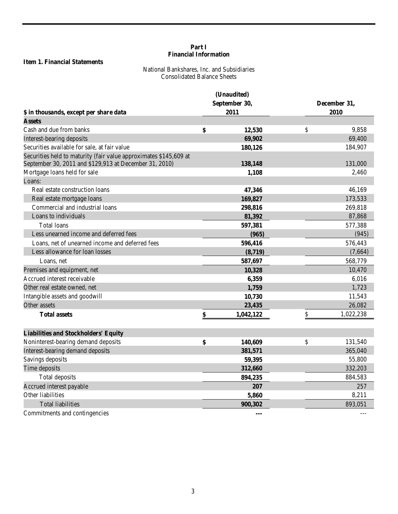# **Part I Financial Information**

# <span id="page-2-1"></span><span id="page-2-0"></span>**Item 1. Financial Statements**

# National Bankshares, Inc. and Subsidiaries Consolidated Balance Sheets

|                                                                   | (Unaudited)<br>September 30, | December 31, |           |  |
|-------------------------------------------------------------------|------------------------------|--------------|-----------|--|
| \$ in thousands, except per share data                            | 2011                         | 2010         |           |  |
| <b>Assets</b>                                                     |                              |              |           |  |
| Cash and due from banks                                           | \$<br>12,530                 | \$           | 9,858     |  |
| Interest-bearing deposits                                         | 69,902                       |              | 69,400    |  |
| Securities available for sale, at fair value                      | 180,126                      |              | 184,907   |  |
| Securities held to maturity (fair value approximates \$145,609 at |                              |              |           |  |
| September 30, 2011 and \$129,913 at December 31, 2010)            | 138,148                      |              | 131,000   |  |
| Mortgage loans held for sale                                      | 1,108                        |              | 2,460     |  |
| Loans:                                                            |                              |              |           |  |
| Real estate construction loans                                    | 47,346                       |              | 46,169    |  |
| Real estate mortgage loans                                        | 169,827                      |              | 173,533   |  |
| Commercial and industrial loans                                   | 298,816                      |              | 269,818   |  |
| Loans to individuals                                              | 81,392                       |              | 87,868    |  |
| <b>Total loans</b>                                                | 597,381                      |              | 577,388   |  |
| Less unearned income and deferred fees                            | (965)                        |              | (945)     |  |
| Loans, net of unearned income and deferred fees                   | 596,416                      |              | 576,443   |  |
| Less allowance for loan losses                                    | (8,719)                      |              | (7,664)   |  |
| Loans, net                                                        | 587,697                      |              | 568,779   |  |
| Premises and equipment, net                                       | 10,328                       |              | 10,470    |  |
| Accrued interest receivable                                       | 6,359                        |              | 6,016     |  |
| Other real estate owned, net                                      | 1,759                        |              | 1,723     |  |
| Intangible assets and goodwill                                    | 10,730                       |              | 11,543    |  |
| Other assets                                                      | 23,435                       |              | 26,082    |  |
| <b>Total assets</b>                                               | \$<br>1,042,122              | \$           | 1,022,238 |  |
|                                                                   |                              |              |           |  |
| <b>Liabilities and Stockholders' Equity</b>                       |                              |              |           |  |
| Noninterest-bearing demand deposits                               | \$<br>140,609                | \$           | 131,540   |  |
| Interest-bearing demand deposits                                  | 381,571                      |              | 365,040   |  |
| Savings deposits                                                  | 59,395                       |              | 55,800    |  |
| Time deposits                                                     | 312,660                      |              | 332,203   |  |
| Total deposits                                                    | 894,235                      |              | 884,583   |  |
| Accrued interest payable                                          | 207                          |              | 257       |  |
| Other liabilities                                                 | 5,860                        |              | 8,211     |  |
| <b>Total liabilities</b>                                          | 900,302                      |              | 893,051   |  |
| Commitments and contingencies                                     |                              |              |           |  |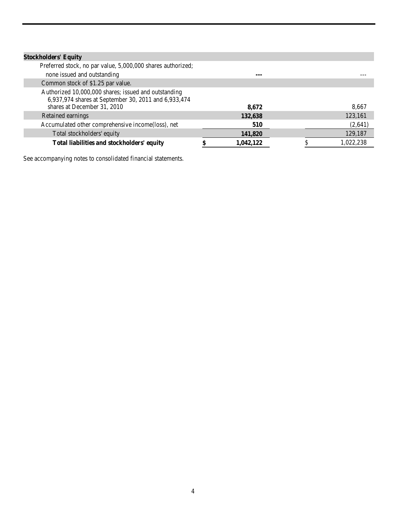| <b>Stockholders' Equity</b>                                                                                  |           |           |
|--------------------------------------------------------------------------------------------------------------|-----------|-----------|
| Preferred stock, no par value, 5,000,000 shares authorized;                                                  |           |           |
| none issued and outstanding                                                                                  |           |           |
| Common stock of \$1.25 par value.                                                                            |           |           |
| Authorized 10,000,000 shares; issued and outstanding<br>6,937,974 shares at September 30, 2011 and 6,933,474 |           |           |
| shares at December 31, 2010                                                                                  | 8,672     | 8,667     |
| Retained earnings                                                                                            | 132,638   | 123,161   |
| Accumulated other comprehensive income(loss), net                                                            | 510       | (2,641)   |
| Total stockholders' equity                                                                                   | 141,820   | 129,187   |
| Total liabilities and stockholders' equity                                                                   | 1,042,122 | 1.022.238 |

See accompanying notes to consolidated financial statements.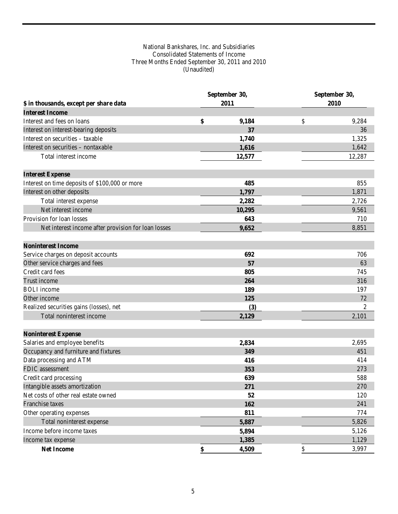# National Bankshares, Inc. and Subsidiaries Consolidated Statements of Income Three Months Ended September 30, 2011 and 2010 (Unaudited)

<span id="page-4-0"></span>

|                                                     | September 30, |        | September 30, |        |
|-----------------------------------------------------|---------------|--------|---------------|--------|
| \$ in thousands, except per share data              | 2011          |        |               | 2010   |
| <b>Interest Income</b>                              |               |        |               |        |
| Interest and fees on loans                          | \$            | 9,184  | \$            | 9,284  |
| Interest on interest-bearing deposits               |               | 37     |               | 36     |
| Interest on securities – taxable                    |               | 1,740  |               | 1,325  |
| Interest on securities - nontaxable                 |               | 1,616  |               | 1,642  |
| Total interest income                               |               | 12,577 |               | 12,287 |
| <b>Interest Expense</b>                             |               |        |               |        |
| Interest on time deposits of \$100,000 or more      |               | 485    |               | 855    |
| Interest on other deposits                          |               | 1,797  |               | 1,871  |
| Total interest expense                              |               | 2,282  |               | 2,726  |
| Net interest income                                 |               | 10,295 |               | 9,561  |
| Provision for loan losses                           |               | 643    |               | 710    |
| Net interest income after provision for loan losses |               | 9,652  |               | 8,851  |
| <b>Noninterest Income</b>                           |               |        |               |        |
| Service charges on deposit accounts                 |               | 692    |               | 706    |
| Other service charges and fees                      |               | 57     |               | 63     |
| Credit card fees                                    |               | 805    |               | 745    |
| Trust income                                        |               | 264    |               | 316    |
| <b>BOLI</b> income                                  |               | 189    |               | 197    |
| Other income                                        |               | 125    |               | 72     |
| Realized securities gains (losses), net             |               | (3)    |               | 2      |
| Total noninterest income                            |               | 2,129  |               | 2,101  |
| <b>Noninterest Expense</b>                          |               |        |               |        |
| Salaries and employee benefits                      |               | 2,834  |               | 2,695  |
| Occupancy and furniture and fixtures                |               | 349    |               | 451    |
| Data processing and ATM                             |               | 416    |               | 414    |
| FDIC assessment                                     |               | 353    |               | 273    |
| Credit card processing                              |               | 639    |               | 588    |
| Intangible assets amortization                      |               | 271    |               | 270    |
| Net costs of other real estate owned                |               | 52     |               | 120    |
| Franchise taxes                                     |               | 162    |               | 241    |
| Other operating expenses                            |               | 811    |               | 774    |
| Total noninterest expense                           |               | 5,887  |               | 5,826  |
| Income before income taxes                          |               | 5,894  |               | 5,126  |
| Income tax expense                                  |               | 1,385  |               | 1,129  |
| <b>Net Income</b>                                   | \$            | 4,509  | $\mathbb{S}$  | 3,997  |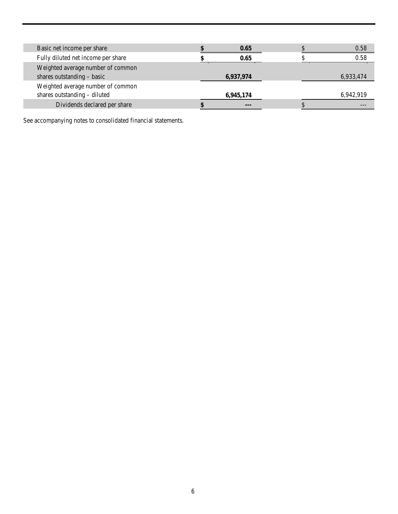| Basic net income per share         | 0.65      | 0.58      |
|------------------------------------|-----------|-----------|
| Fully diluted net income per share | 0.65      | 0.58      |
| Weighted average number of common  |           |           |
| shares outstanding $-$ basic       | 6,937,974 | 6,933,474 |
| Weighted average number of common  |           |           |
| shares outstanding – diluted       | 6,945,174 | 6.942.919 |
| Dividends declared per share       |           |           |

See accompanying notes to consolidated financial statements.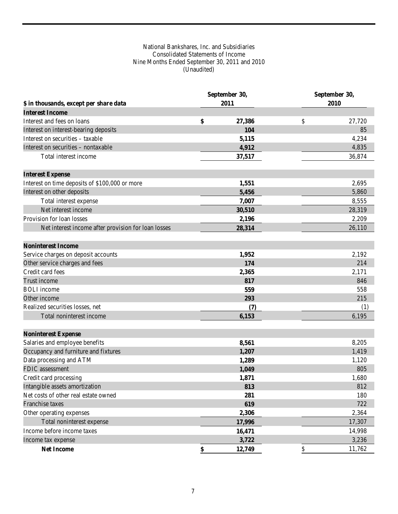# National Bankshares, Inc. and Subsidiaries Consolidated Statements of Income Nine Months Ended September 30, 2011 and 2010 (Unaudited)

<span id="page-6-0"></span>

|                                                     | September 30, |        | September 30, |        |
|-----------------------------------------------------|---------------|--------|---------------|--------|
| \$ in thousands, except per share data              | 2011          |        | 2010          |        |
| <b>Interest Income</b>                              |               |        |               |        |
| Interest and fees on loans                          | \$            | 27,386 | \$            | 27,720 |
| Interest on interest-bearing deposits               |               | 104    |               | 85     |
| Interest on securities – taxable                    |               | 5,115  |               | 4,234  |
| Interest on securities - nontaxable                 |               | 4,912  |               | 4,835  |
| Total interest income                               |               | 37,517 |               | 36,874 |
| <b>Interest Expense</b>                             |               |        |               |        |
| Interest on time deposits of \$100,000 or more      |               | 1,551  |               | 2,695  |
| Interest on other deposits                          |               | 5,456  |               | 5,860  |
| Total interest expense                              |               | 7,007  |               | 8,555  |
| Net interest income                                 |               | 30,510 |               | 28,319 |
| Provision for loan losses                           |               | 2,196  |               | 2,209  |
| Net interest income after provision for loan losses |               | 28,314 |               | 26,110 |
| <b>Noninterest Income</b>                           |               |        |               |        |
| Service charges on deposit accounts                 |               | 1,952  |               | 2,192  |
| Other service charges and fees                      |               | 174    |               | 214    |
| Credit card fees                                    |               | 2,365  |               | 2,171  |
| Trust income                                        |               | 817    |               | 846    |
| <b>BOLI</b> income                                  |               | 559    |               | 558    |
| Other income                                        |               | 293    |               | 215    |
| Realized securities losses, net                     |               | (7)    |               | (1)    |
| Total noninterest income                            |               | 6,153  |               | 6,195  |
| <b>Noninterest Expense</b>                          |               |        |               |        |
| Salaries and employee benefits                      |               | 8,561  |               | 8,205  |
| Occupancy and furniture and fixtures                |               | 1,207  |               | 1,419  |
| Data processing and ATM                             |               | 1,289  |               | 1,120  |
| FDIC assessment                                     |               | 1,049  |               | 805    |
| Credit card processing                              |               | 1,871  |               | 1,680  |
| Intangible assets amortization                      |               | 813    |               | 812    |
| Net costs of other real estate owned                |               | 281    |               | 180    |
| Franchise taxes                                     |               | 619    |               | 722    |
| Other operating expenses                            |               | 2,306  |               | 2,364  |
| Total noninterest expense                           |               | 17,996 |               | 17,307 |
| Income before income taxes                          |               | 16,471 |               | 14,998 |
| Income tax expense                                  |               | 3,722  |               | 3,236  |
| <b>Net Income</b>                                   | \$            | 12,749 | \$            | 11,762 |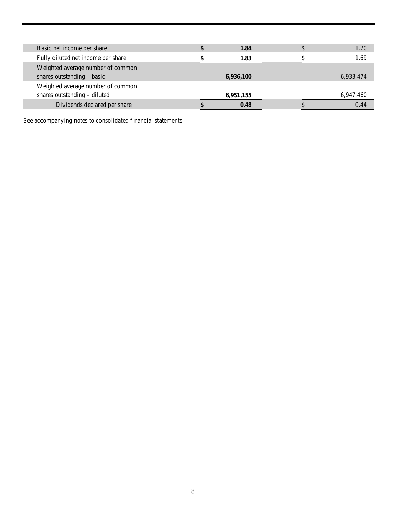| Basic net income per share         | 1.84      | 1.70      |
|------------------------------------|-----------|-----------|
| Fully diluted net income per share | 1.83      | 1.69      |
| Weighted average number of common  |           |           |
| shares outstanding $-$ basic       | 6,936,100 | 6,933,474 |
| Weighted average number of common  |           |           |
| shares outstanding – diluted       | 6,951,155 | 6,947,460 |
| Dividends declared per share       | 0.48      | 0.44      |

See accompanying notes to consolidated financial statements.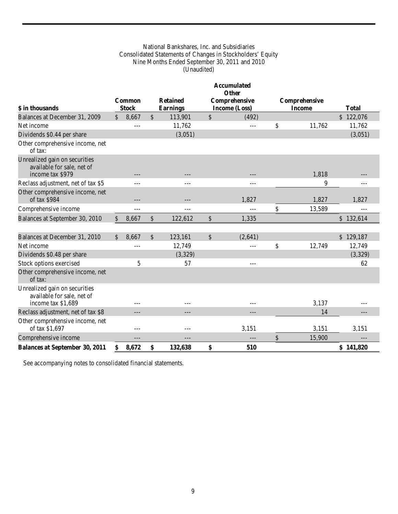# National Bankshares, Inc. and Subsidiaries Consolidated Statements of Changes in Stockholders' Equity Nine Months Ended September 30, 2011 and 2010 (Unaudited)

<span id="page-8-0"></span>

|                                                                                   |               |                        |               |                                    |               | <b>Accumulated</b><br>Other           |                                |              |
|-----------------------------------------------------------------------------------|---------------|------------------------|---------------|------------------------------------|---------------|---------------------------------------|--------------------------------|--------------|
| \$ in thousands                                                                   |               | Common<br><b>Stock</b> |               | <b>Retained</b><br><b>Earnings</b> |               | Comprehensive<br><b>Income (Loss)</b> | Comprehensive<br><b>Income</b> | <b>Total</b> |
| Balances at December 31, 2009                                                     | $\mathcal{S}$ | 8,667                  | $\mathsf{\$}$ | 113,901                            | $\mathbb{S}$  | (492)                                 |                                | \$122,076    |
| Net income                                                                        |               |                        |               | 11,762                             |               | $---$                                 | \$<br>11,762                   | 11,762       |
| Dividends \$0.44 per share                                                        |               |                        |               | (3,051)                            |               |                                       |                                | (3,051)      |
| Other comprehensive income, net<br>of tax:                                        |               |                        |               |                                    |               |                                       |                                |              |
| Unrealized gain on securities<br>available for sale, net of<br>income tax \$979   |               |                        |               |                                    |               |                                       | 1,818                          |              |
| Reclass adjustment, net of tax \$5                                                |               | ---                    |               | ---                                |               | ---                                   | 9                              |              |
| Other comprehensive income, net<br>of tax \$984                                   |               |                        |               |                                    |               | 1,827                                 | 1,827                          | 1,827        |
| Comprehensive income                                                              |               | ---                    |               | ---                                |               | ---                                   | \$<br>13,589                   | ---          |
| Balances at September 30, 2010                                                    | \$            | 8,667                  | $\$\$         | 122,612                            | \$            | 1,335                                 |                                | \$132,614    |
|                                                                                   |               |                        |               |                                    |               |                                       |                                |              |
| Balances at December 31, 2010                                                     | $\mathcal{S}$ | 8,667                  | $\mathcal{S}$ | 123,161                            | $\mathcal{S}$ | (2,641)                               |                                | \$129,187    |
| Net income                                                                        |               |                        |               | 12,749                             |               | ---                                   | \$<br>12,749                   | 12,749       |
| Dividends \$0.48 per share                                                        |               |                        |               | (3,329)                            |               |                                       |                                | (3,329)      |
| Stock options exercised                                                           |               | 5                      |               | 57                                 |               | ---                                   |                                | 62           |
| Other comprehensive income, net<br>of tax:                                        |               |                        |               |                                    |               |                                       |                                |              |
| Unrealized gain on securities<br>available for sale, net of<br>income tax \$1,689 |               |                        |               |                                    |               | ---                                   | 3,137                          |              |
| Reclass adjustment, net of tax \$8                                                |               | $---$                  |               | ---                                |               | ---                                   | 14                             |              |
| Other comprehensive income, net<br>of tax \$1,697                                 |               | $---$                  |               | ---                                |               | 3,151                                 | 3,151                          | 3,151        |
| Comprehensive income                                                              |               | $---$                  |               | ---                                |               |                                       | \$<br>15,900                   |              |
| <b>Balances at September 30, 2011</b>                                             | \$            | 8,672                  | \$            | 132,638                            | \$            | 510                                   |                                | \$141,820    |

See accompanying notes to consolidated financial statements.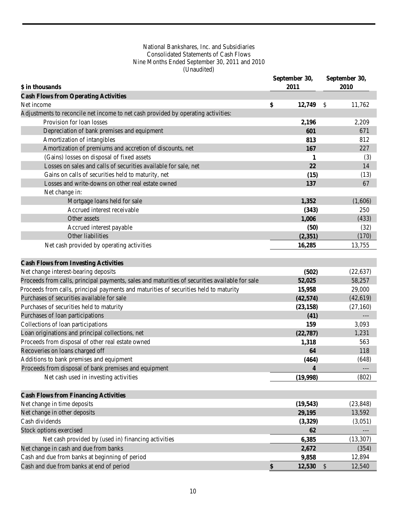# National Bankshares, Inc. and Subsidiaries Consolidated Statements of Cash Flows Nine Months Ended September 30, 2011 and 2010 (Unaudited)

<span id="page-9-0"></span>

|                                                                                                | September 30, | September 30,                       |  |
|------------------------------------------------------------------------------------------------|---------------|-------------------------------------|--|
| \$ in thousands                                                                                | 2011          | 2010                                |  |
| <b>Cash Flows from Operating Activities</b>                                                    |               |                                     |  |
| Net income                                                                                     | \$<br>12,749  | \$<br>11,762                        |  |
| Adjustments to reconcile net income to net cash provided by operating activities:              |               |                                     |  |
| Provision for loan losses                                                                      | 2,196         | 2,209                               |  |
| Depreciation of bank premises and equipment                                                    | 601           | 671                                 |  |
| Amortization of intangibles                                                                    | 813           | 812                                 |  |
| Amortization of premiums and accretion of discounts, net                                       | 167           | 227                                 |  |
| (Gains) losses on disposal of fixed assets                                                     | 1             | (3)                                 |  |
| Losses on sales and calls of securities available for sale, net                                | 22            | 14                                  |  |
| Gains on calls of securities held to maturity, net                                             | (15)          | (13)                                |  |
| Losses and write-downs on other real estate owned                                              | 137           | 67                                  |  |
| Net change in:                                                                                 |               |                                     |  |
| Mortgage loans held for sale                                                                   | 1,352         | (1,606)                             |  |
| Accrued interest receivable                                                                    | (343)         | 250                                 |  |
| Other assets                                                                                   | 1,006         | (433)                               |  |
| Accrued interest payable                                                                       | (50)          | (32)                                |  |
| Other liabilities                                                                              | (2,351)       | (170)                               |  |
| Net cash provided by operating activities                                                      | 16,285        | 13,755                              |  |
| <b>Cash Flows from Investing Activities</b>                                                    |               |                                     |  |
| Net change interest-bearing deposits                                                           | (502)         | (22, 637)                           |  |
| Proceeds from calls, principal payments, sales and maturities of securities available for sale | 52,025        | 58,257                              |  |
| Proceeds from calls, principal payments and maturities of securities held to maturity          | 15,958        | 29,000                              |  |
| Purchases of securities available for sale                                                     | (42, 574)     | (42, 619)                           |  |
| Purchases of securities held to maturity                                                       |               |                                     |  |
|                                                                                                | (23, 158)     | (27,160)                            |  |
| Purchases of loan participations                                                               | (41)          |                                     |  |
| Collections of loan participations                                                             | 159           | 3,093                               |  |
| Loan originations and principal collections, net                                               | (22, 787)     | 1,231                               |  |
| Proceeds from disposal of other real estate owned                                              | 1,318         | 563                                 |  |
| Recoveries on loans charged off                                                                | 64            | 118                                 |  |
| Additions to bank premises and equipment                                                       | (464)         | (648)                               |  |
| Proceeds from disposal of bank premises and equipment                                          |               |                                     |  |
| Net cash used in investing activities                                                          | (19,998)      | (802)                               |  |
| <b>Cash Flows from Financing Activities</b>                                                    |               |                                     |  |
| Net change in time deposits                                                                    | (19, 543)     | (23, 848)                           |  |
| Net change in other deposits                                                                   | 29,195        | 13,592                              |  |
| Cash dividends                                                                                 | (3,329)       | (3,051)                             |  |
| Stock options exercised                                                                        | 62            |                                     |  |
| Net cash provided by (used in) financing activities                                            | 6,385         | (13, 307)                           |  |
| Net change in cash and due from banks                                                          | 2,672         | (354)                               |  |
| Cash and due from banks at beginning of period                                                 | 9,858         | 12,894                              |  |
| Cash and due from banks at end of period                                                       | \$<br>12,530  | $\boldsymbol{\mathsf{S}}$<br>12,540 |  |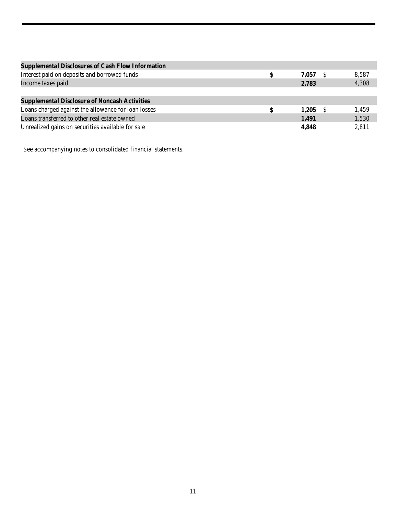| <b>Supplemental Disclosures of Cash Flow Information</b> |             |    |       |
|----------------------------------------------------------|-------------|----|-------|
| Interest paid on deposits and borrowed funds             | \$<br>7.057 | -S | 8,587 |
| Income taxes paid                                        | 2,783       |    | 4,308 |
|                                                          |             |    |       |
| <b>Supplemental Disclosure of Noncash Activities</b>     |             |    |       |
| Loans charged against the allowance for loan losses      | \$<br>1.205 |    | 1.459 |
| Loans transferred to other real estate owned             | 1.491       |    | 1,530 |
| Unrealized gains on securities available for sale        | 4,848       |    | 2.811 |

See accompanying notes to consolidated financial statements.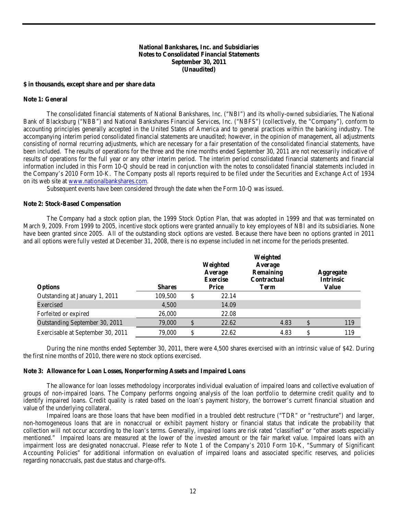# **National Bankshares, Inc. and Subsidiaries Notes to Consolidated Financial Statements September 30, 2011 (Unaudited)**

#### <span id="page-11-0"></span>**\$ in thousands, except share and per share data**

#### **Note 1: General**

The consolidated financial statements of National Bankshares, Inc. ("NBI") and its wholly-owned subsidiaries, The National Bank of Blacksburg ("NBB") and National Bankshares Financial Services, Inc. ("NBFS") (collectively, the "Company"), conform to accounting principles generally accepted in the United States of America and to general practices within the banking industry. The accompanying interim period consolidated financial statements are unaudited; however, in the opinion of management, all adjustments consisting of normal recurring adjustments, which are necessary for a fair presentation of the consolidated financial statements, have been included. The results of operations for the three and the nine months ended September 30, 2011 are not necessarily indicative of results of operations for the full year or any other interim period. The interim period consolidated financial statements and financial information included in this Form 10-Q should be read in conjunction with the notes to consolidated financial statements included in the Company's 2010 Form 10-K. The Company posts all reports required to be filed under the Securities and Exchange Act of 1934 on its web site a[t www.nationalbankshares.com.](http://www.nationalbankshares.com/)

Subsequent events have been considered through the date when the Form 10-Q was issued.

#### **Note 2: Stock-Based Compensation**

The Company had a stock option plan, the 1999 Stock Option Plan, that was adopted in 1999 and that was terminated on March 9, 2009. From 1999 to 2005, incentive stock options were granted annually to key employees of NBI and its subsidiaries. None have been granted since 2005. All of the outstanding stock options are vested. Because there have been no options granted in 2011 and all options were fully vested at December 31, 2008, there is no expense included in net income for the periods presented.

| <b>Options</b>                    | <b>Shares</b> | Weighted<br>Average<br><b>Exercise</b><br>Price | Weighted<br>Average<br><b>Remaining</b><br>Contractual<br>Term | Aggregate<br><b>Intrinsic</b><br>Value |
|-----------------------------------|---------------|-------------------------------------------------|----------------------------------------------------------------|----------------------------------------|
| Outstanding at January 1, 2011    | 109,500       | \$<br>22.14                                     |                                                                |                                        |
| Exercised                         | 4,500         | 14.09                                           |                                                                |                                        |
| Forfeited or expired              | 26,000        | 22.08                                           |                                                                |                                        |
| Outstanding September 30, 2011    | 79,000        | \$<br>22.62                                     | 4.83                                                           | \$<br>119                              |
| Exercisable at September 30, 2011 | 79.000        | \$<br>22.62                                     | 4.83                                                           | \$<br>119                              |

During the nine months ended September 30, 2011, there were 4,500 shares exercised with an intrinsic value of \$42. During the first nine months of 2010, there were no stock options exercised.

#### **Note 3: Allowance for Loan Losses, Nonperforming Assets and Impaired Loans**

The allowance for loan losses methodology incorporates individual evaluation of impaired loans and collective evaluation of groups of non-impaired loans. The Company performs ongoing analysis of the loan portfolio to determine credit quality and to identify impaired loans. Credit quality is rated based on the loan's payment history, the borrower's current financial situation and value of the underlying collateral.

Impaired loans are those loans that have been modified in a troubled debt restructure ("TDR" or "restructure") and larger, non-homogeneous loans that are in nonaccrual or exhibit payment history or financial status that indicate the probability that collection will not occur according to the loan's terms. Generally, impaired loans are risk rated "classified" or "other assets especially mentioned." Impaired loans are measured at the lower of the invested amount or the fair market value. Impaired loans with an impairment loss are designated nonaccrual. Please refer to Note 1 of the Company's 2010 Form 10-K, "Summary of Significant Accounting Policies" for additional information on evaluation of impaired loans and associated specific reserves, and policies regarding nonaccruals, past due status and charge-offs.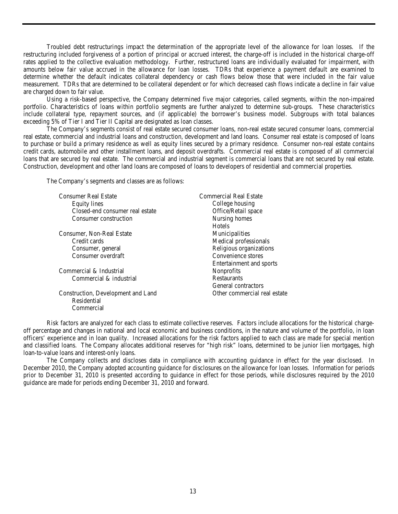Troubled debt restructurings impact the determination of the appropriate level of the allowance for loan losses. If the restructuring included forgiveness of a portion of principal or accrued interest, the charge-off is included in the historical charge-off rates applied to the collective evaluation methodology. Further, restructured loans are individually evaluated for impairment, with amounts below fair value accrued in the allowance for loan losses. TDRs that experience a payment default are examined to determine whether the default indicates collateral dependency or cash flows below those that were included in the fair value measurement. TDRs that are determined to be collateral dependent or for which decreased cash flows indicate a decline in fair value are charged down to fair value.

Using a risk-based perspective, the Company determined five major categories, called segments, within the non-impaired portfolio. Characteristics of loans within portfolio segments are further analyzed to determine sub-groups. These characteristics include collateral type, repayment sources, and (if applicable) the borrower's business model. Subgroups with total balances exceeding 5% of Tier I and Tier II Capital are designated as loan classes.

The Company's segments consist of real estate secured consumer loans, non-real estate secured consumer loans, commercial real estate, commercial and industrial loans and construction, development and land loans. Consumer real estate is composed of loans to purchase or build a primary residence as well as equity lines secured by a primary residence. Consumer non-real estate contains credit cards, automobile and other installment loans, and deposit overdrafts. Commercial real estate is composed of all commercial loans that are secured by real estate. The commercial and industrial segment is commercial loans that are not secured by real estate. Construction, development and other land loans are composed of loans to developers of residential and commercial properties.

The Company's segments and classes are as follows:

| <b>Consumer Real Estate</b>        | Commercial Real Estate       |
|------------------------------------|------------------------------|
| Equity lines                       | College housing              |
| Closed-end consumer real estate    | Office/Retail space          |
| Consumer construction              | Nursing homes                |
|                                    | Hotels                       |
| Consumer, Non-Real Estate          | Municipalities               |
| Credit cards                       | Medical professionals        |
| Consumer, general                  | Religious organizations      |
| Consumer overdraft                 | Convenience stores           |
|                                    | Entertainment and sports     |
| Commercial & Industrial            | Nonprofits                   |
| Commercial & industrial            | <b>Restaurants</b>           |
|                                    | General contractors          |
| Construction, Development and Land | Other commercial real estate |
| Residential                        |                              |
| Commercial                         |                              |

Risk factors are analyzed for each class to estimate collective reserves. Factors include allocations for the historical chargeoff percentage and changes in national and local economic and business conditions, in the nature and volume of the portfolio, in loan officers' experience and in loan quality. Increased allocations for the risk factors applied to each class are made for special mention and classified loans. The Company allocates additional reserves for "high risk" loans, determined to be junior lien mortgages, high loan-to-value loans and interest-only loans.

The Company collects and discloses data in compliance with accounting guidance in effect for the year disclosed. In December 2010, the Company adopted accounting guidance for disclosures on the allowance for loan losses. Information for periods prior to December 31, 2010 is presented according to guidance in effect for those periods, while disclosures required by the 2010 guidance are made for periods ending December 31, 2010 and forward.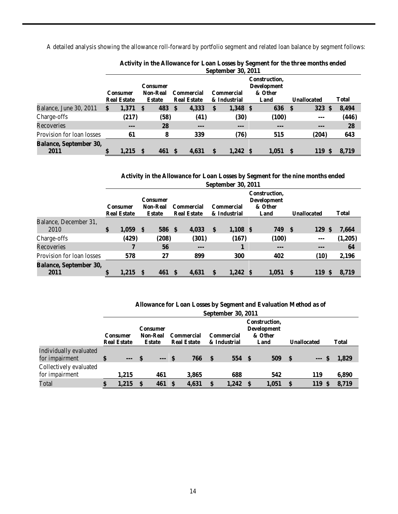A detailed analysis showing the allowance roll-forward by portfolio segment and related loan balance by segment follows:

|                               | <b>September 30, 2011</b> |      |                 |      |                    |   |                     |  |                               |      |                    |              |  |
|-------------------------------|---------------------------|------|-----------------|------|--------------------|---|---------------------|--|-------------------------------|------|--------------------|--------------|--|
|                               |                           |      | Consumer        |      |                    |   |                     |  | Construction,                 |      |                    |              |  |
|                               | Consumer                  |      | <b>Non-Real</b> |      | <b>Commercial</b>  |   | <b>Commercial</b>   |  | <b>Development</b><br>& Other |      |                    |              |  |
|                               | <b>Real Estate</b>        |      | <b>Estate</b>   |      | <b>Real Estate</b> |   | & Industrial        |  | Land                          |      | <b>Unallocated</b> | <b>Total</b> |  |
| <b>Balance, June 30, 2011</b> | \$<br>1,371               | -S   | 483             | - \$ | 4,333              | S | $1,348$ \$          |  | 636                           | - \$ | 323 \$             | 8,494        |  |
| Charge-offs                   | (217)                     |      | (58)            |      | (41)               |   | (30)                |  | (100)                         |      | ---                | (446)        |  |
| <b>Recoveries</b>             | $\qquad \qquad \cdots$    |      | 28              |      | $- - -$            |   | $---$               |  | $---$                         |      | $-- -$             | 28           |  |
| Provision for loan losses     | 61                        |      | 8               |      | 339                |   | (76)                |  | 515                           |      | (204)              | 643          |  |
| <b>Balance, September 30,</b> |                           |      |                 |      |                    |   |                     |  |                               |      |                    |              |  |
| 2011                          | 1,215                     | - \$ | 461             |      | 4,631              |   | $1.242 \text{ }$ \$ |  | 1.051                         |      | <b>119</b>         | 8.719        |  |

# **Activity in the Allowance for Loan Losses by Segment for the three months ended**

# **Activity in the Allowance for Loan Losses by Segment for the nine months ended**

|                                       |                                                                                                                                                                              | September 30, 2011 |      |                 |  |          |              |                     |  |                                     |              |            |         |  |
|---------------------------------------|------------------------------------------------------------------------------------------------------------------------------------------------------------------------------|--------------------|------|-----------------|--|----------|--------------|---------------------|--|-------------------------------------|--------------|------------|---------|--|
|                                       |                                                                                                                                                                              |                    |      | <b>Consumer</b> |  |          |              |                     |  | Construction.<br><b>Development</b> |              |            |         |  |
|                                       | & Other<br><b>Non-Real</b><br><b>Commercial</b><br><b>Commercial</b><br><b>Consumer</b><br><b>Real Estate</b><br><b>Real Estate</b><br>& Industrial<br><b>Estate</b><br>Land |                    |      |                 |  |          |              |                     |  | <b>Unallocated</b>                  | <b>Total</b> |            |         |  |
| Balance, December 31,<br>2010         | \$                                                                                                                                                                           | 1,059              | -S   | 586 \$          |  | 4,033    | $\mathbf{s}$ | $1,108$ \$          |  | 749                                 | - \$         | 129<br>-8  | 7,664   |  |
| Charge-offs                           |                                                                                                                                                                              | (429)              |      | (208)           |  | (301)    |              | (167)               |  | (100)                               |              | ---        | (1,205) |  |
| <b>Recoveries</b>                     |                                                                                                                                                                              | 7                  |      | 56              |  | $\cdots$ |              |                     |  | $\qquad \qquad \cdots$              |              | $-- -$     | 64      |  |
| Provision for loan losses             |                                                                                                                                                                              | 578                |      | 27              |  | 899      |              | 300                 |  | 402                                 |              | (10)       | 2,196   |  |
| <b>Balance, September 30,</b><br>2011 |                                                                                                                                                                              | 1,215              | - \$ | 461             |  | 4,631    | <b>S</b>     | $1.242 \text{ }$ \$ |  | 1,051                               |              | <b>119</b> | 8,719   |  |

# **Allowance for Loan Losses by Segment and Evaluation Method as of**

|                                          |                                                                                   | <b>September 30, 2011</b>                       |  |                 |          |                   |              |                   |             |              |               |            |       |  |
|------------------------------------------|-----------------------------------------------------------------------------------|-------------------------------------------------|--|-----------------|----------|-------------------|--------------|-------------------|-------------|--------------|---------------|------------|-------|--|
|                                          |                                                                                   | Construction,<br><b>Development</b><br>Consumer |  |                 |          |                   |              |                   |             |              |               |            |       |  |
|                                          |                                                                                   |                                                 |  |                 |          |                   |              |                   |             |              |               |            |       |  |
|                                          |                                                                                   | <b>Consumer</b>                                 |  | <b>Non-Real</b> |          | <b>Commercial</b> |              | <b>Commercial</b> |             | & Other      |               |            |       |  |
|                                          | <b>Real Estate</b><br>& Industrial<br><b>Real Estate</b><br><b>Estate</b><br>Land |                                                 |  |                 |          |                   |              |                   | Unallocated | <b>Total</b> |               |            |       |  |
| Individually evaluated<br>for impairment | \$                                                                                | $-$ \$                                          |  | $--$ \$         |          | 766               | - \$         | 554 \$            |             | 509          | <sup>\$</sup> | $-5$       | 1,829 |  |
| Collectively evaluated<br>for impairment |                                                                                   | 1.215                                           |  | 461             |          | 3,865             |              | 688               |             | 542          |               | 119        | 6,890 |  |
| Total                                    |                                                                                   | 1,215                                           |  | 461             | <b>S</b> | 4,631             | $\mathbf{s}$ | 1,242             |             | 1,051        |               | <b>119</b> | 8.719 |  |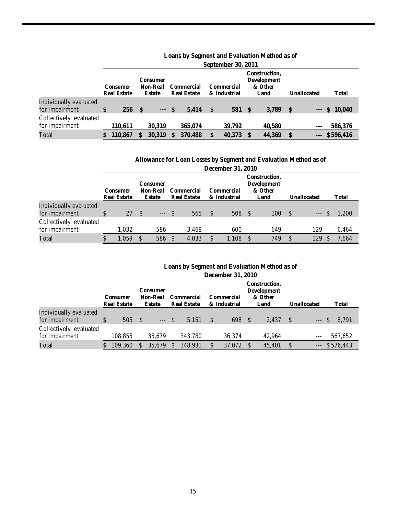|                                          | поанз бу ведшене ана пуанданон местоа аз ог |                                                     |         |                                  |         |                                   |        |                                                        |                    |              |       |                |  |
|------------------------------------------|---------------------------------------------|-----------------------------------------------------|---------|----------------------------------|---------|-----------------------------------|--------|--------------------------------------------------------|--------------------|--------------|-------|----------------|--|
|                                          | <b>September 30, 2011</b>                   |                                                     |         |                                  |         |                                   |        |                                                        |                    |              |       |                |  |
|                                          | Consumer<br><b>Real Estate</b>              | <b>Consumer</b><br><b>Non-Real</b><br><b>Estate</b> |         | Commercial<br><b>Real Estate</b> |         | <b>Commercial</b><br>& Industrial |        | Construction,<br><b>Development</b><br>& Other<br>Land | <b>Unallocated</b> | <b>Total</b> |       |                |  |
| Individually evaluated<br>for impairment | \$<br><b>256</b>                            | - \$                                                | $--$ \$ |                                  | 5.414   | - \$                              | 581 \$ |                                                        | 3,789              | - \$         |       | $-5$ \$ 10,040 |  |
| Collectively evaluated<br>for impairment | 110,611                                     |                                                     | 30,319  |                                  | 365,074 |                                   | 39.792 |                                                        | 40,580             |              | ---   | 586,376        |  |
| Total                                    | 110,867                                     |                                                     | 30,319  |                                  | 370,488 | \$                                | 40,373 |                                                        | 44,369             | \$           | $---$ | \$596,416      |  |

# **Loans by Segment and Evaluation Method as of**

# **Allowance for Loan Losses by Segment and Evaluation Method as of**

|                                          |                                                                                                                                                                       | <b>December 31, 2010</b> |          |         |  |       |               |        |  |                                                |      |                    |  |              |  |
|------------------------------------------|-----------------------------------------------------------------------------------------------------------------------------------------------------------------------|--------------------------|----------|---------|--|-------|---------------|--------|--|------------------------------------------------|------|--------------------|--|--------------|--|
|                                          | Consumer<br><b>Commercial</b><br><b>Commercial</b><br><b>Non-Real</b><br><b>Consumer</b><br><b>Real Estate</b><br><b>Real Estate</b><br>& Industrial<br><b>Estate</b> |                          |          |         |  |       |               |        |  | Construction,<br><b>Development</b><br>& Other |      |                    |  |              |  |
|                                          |                                                                                                                                                                       |                          |          |         |  |       |               |        |  | Land                                           |      | <b>Unallocated</b> |  | <b>Total</b> |  |
| Individually evaluated<br>for impairment | S                                                                                                                                                                     | 27                       | <b>S</b> | $--$ \$ |  | 565   | $\mathcal{S}$ | 508 \$ |  | 100                                            | - \$ | $--$ \$            |  | 1,200        |  |
| Collectively evaluated<br>for impairment |                                                                                                                                                                       | 1,032                    |          | 586     |  | 3,468 |               | 600    |  | 649                                            |      | 129                |  | 6,464        |  |
| Total                                    |                                                                                                                                                                       | 1,059                    |          | 586     |  | 4,033 | \$            | 1,108  |  | 749                                            |      | 129                |  | 7,664        |  |

# **Loans by Segment and Evaluation Method as of**

|                                          |    | <b>December 31, 2010</b> |                             |               |     |                    |               |              |      |        |               |             |  |              |
|------------------------------------------|----|--------------------------|-----------------------------|---------------|-----|--------------------|---------------|--------------|------|--------|---------------|-------------|--|--------------|
|                                          |    | Consumer                 | Consumer<br><b>Non-Real</b> |               |     |                    |               |              |      |        |               |             |  |              |
|                                          |    | <b>Real Estate</b>       |                             | <b>Estate</b> |     | <b>Real Estate</b> |               | & Industrial |      | Land   |               | Unallocated |  | <b>Total</b> |
| Individually evaluated<br>for impairment | \$ | 505                      | $\mathbb{S}$                | $--$ \$       |     | 5,151              | <sup>S</sup>  | 698          | - \$ | 2,437  | -8            | $---$ \$    |  | 8,791        |
| Collectively evaluated                   |    |                          |                             |               |     |                    |               |              |      |        |               |             |  |              |
| for impairment                           |    | 108,855                  |                             | 35,679        |     | 343.780            |               | 36,374       |      | 42.964 |               |             |  | 567,652      |
| Total                                    | S  | 109,360                  |                             | 35,679        | \$. | 348,931            | <sup>\$</sup> | 37,072       |      | 45,401 | <sup>\$</sup> |             |  | $-5576,443$  |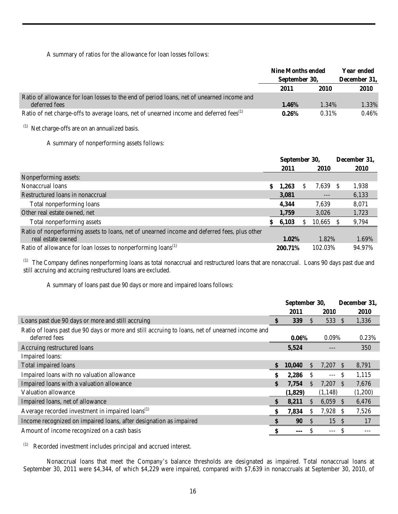A summary of ratios for the allowance for loan losses follows:

|                                                                                                    | <b>Nine Months ended</b> |       | Year ended   |
|----------------------------------------------------------------------------------------------------|--------------------------|-------|--------------|
|                                                                                                    | September 30,            |       | December 31, |
|                                                                                                    | 2011                     | 2010  | 2010         |
| Ratio of allowance for loan losses to the end of period loans, net of unearned income and          |                          |       |              |
| deferred fees                                                                                      | $1.46\%$                 | 1.34% | 1.33%        |
| Ratio of net charge-offs to average loans, net of unearned income and deferred fees <sup>(1)</sup> | $0.26\%$                 | 0.31% | 0.46%        |

 $(1)$  Net charge-offs are on an annualized basis.

A summary of nonperforming assets follows:

|                                                                                              | September 30, |    |             |    | December 31, |
|----------------------------------------------------------------------------------------------|---------------|----|-------------|----|--------------|
|                                                                                              | 2011          |    | <b>2010</b> |    | <b>2010</b>  |
| Nonperforming assets:                                                                        |               |    |             |    |              |
| Nonaccrual loans                                                                             | \$<br>1,263   |    | 7,639       | -S | 1,938        |
| Restructured loans in nonaccrual                                                             | 3,081         |    | ---         |    | 6,133        |
| Total nonperforming loans                                                                    | 4,344         |    | 7,639       |    | 8,071        |
| Other real estate owned, net                                                                 | 1,759         |    | 3,026       |    | 1,723        |
| Total nonperforming assets                                                                   | \$<br>6,103   | S. | 10,665      |    | 9,794        |
| Ratio of nonperforming assets to loans, net of unearned income and deferred fees, plus other |               |    |             |    |              |
| real estate owned                                                                            | $1.02\%$      |    | 1.82%       |    | 1.69%        |
| Ratio of allowance for loan losses to nonperforming loans <sup>(1)</sup>                     | 200.71%       |    | 102.03%     |    | 94.97%       |

(1) The Company defines nonperforming loans as total nonaccrual and restructured loans that are nonaccrual. Loans 90 days past due and still accruing and accruing restructured loans are excluded.

A summary of loans past due 90 days or more and impaired loans follows:

|                                                                                                                  | September 30, |               |             | December 31. |
|------------------------------------------------------------------------------------------------------------------|---------------|---------------|-------------|--------------|
|                                                                                                                  | 2011          |               | 2010        | 2010         |
| Loans past due 90 days or more and still accruing                                                                | 339           | <sup>\$</sup> | 533 \$      | 1,336        |
| Ratio of loans past due 90 days or more and still accruing to loans, net of unearned income and<br>deferred fees | $0.06\%$      |               | 0.09%       | 0.23%        |
| Accruing restructured loans                                                                                      | 5,524         |               |             | 350          |
| Impaired loans:                                                                                                  |               |               |             |              |
| Total impaired loans                                                                                             | 10,040        | $\mathbb{S}$  | $7,207$ \$  | 8,791        |
| Impaired loans with no valuation allowance                                                                       | 2,286         | -S            | -S<br>$---$ | 1,115        |
| Impaired loans with a valuation allowance                                                                        | 7,754         | \$            | $7,207$ \$  | 7,676        |
| Valuation allowance                                                                                              | (1,829)       |               | (1,148)     | (1,200)      |
| Impaired loans, net of allowance                                                                                 | 8,211         | $\mathbb{S}$  | $6,059$ \$  | 6,476        |
| Average recorded investment in impaired loans <sup>(1)</sup>                                                     | 7,834         | S             | 7,928 \$    | 7,526        |
| Income recognized on impaired loans, after designation as impaired                                               | 90            | <sup>S</sup>  | 15<br>-\$   | 17           |
| Amount of income recognized on a cash basis                                                                      | ---           |               | ---         |              |

(1) Recorded investment includes principal and accrued interest.

Nonaccrual loans that meet the Company's balance thresholds are designated as impaired. Total nonaccrual loans at September 30, 2011 were \$4,344, of which \$4,229 were impaired, compared with \$7,639 in nonaccruals at September 30, 2010, of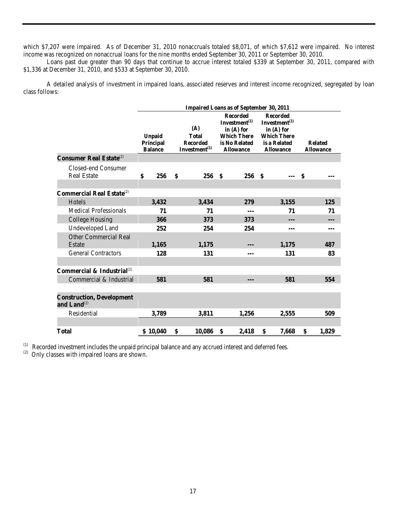which \$7,207 were impaired. As of December 31, 2010 nonaccruals totaled \$8,071, of which \$7,612 were impaired. No interest income was recognized on nonaccrual loans for the nine months ended September 30, 2011 or September 30, 2010.

Loans past due greater than 90 days that continue to accrue interest totaled \$339 at September 30, 2011, compared with \$1,336 at December 31, 2010, and \$533 at September 30, 2010.

A detailed analysis of investment in impaired loans, associated reserves and interest income recognized, segregated by loan class follows:

|                                                   | <b>Impaired Loans as of September 30, 2011</b>      |                                                                     |      |                                                                                                                   |                                                                                                                  |                                    |  |  |  |  |  |  |
|---------------------------------------------------|-----------------------------------------------------|---------------------------------------------------------------------|------|-------------------------------------------------------------------------------------------------------------------|------------------------------------------------------------------------------------------------------------------|------------------------------------|--|--|--|--|--|--|
|                                                   | <b>Unpaid</b><br><b>Principal</b><br><b>Balance</b> | (A)<br><b>Total</b><br><b>Recorded</b><br>Investment <sup>(1)</sup> |      | <b>Recorded</b><br>Investment $^{(1)}$<br>in $(A)$ for<br><b>Which There</b><br>is No Related<br><b>Allowance</b> | <b>Recorded</b><br>Investment $^{(1)}$<br>in $(A)$ for<br><b>Which There</b><br>is a Related<br><b>Allowance</b> | <b>Related</b><br><b>Allowance</b> |  |  |  |  |  |  |
| <b>Consumer Real Estate</b> $^{(2)}$              |                                                     |                                                                     |      |                                                                                                                   |                                                                                                                  |                                    |  |  |  |  |  |  |
| Closed-end Consumer<br><b>Real Estate</b>         | \$<br>256                                           | \$                                                                  | 256S | 256S                                                                                                              |                                                                                                                  | \$                                 |  |  |  |  |  |  |
| <b>Commercial Real Estate</b> <sup>(2)</sup>      |                                                     |                                                                     |      |                                                                                                                   |                                                                                                                  |                                    |  |  |  |  |  |  |
| Hotels                                            | 3,432                                               | 3,434                                                               |      | 279                                                                                                               | 3,155                                                                                                            | 125                                |  |  |  |  |  |  |
| <b>Medical Professionals</b>                      | 71                                                  |                                                                     | 71   | ---                                                                                                               | 71                                                                                                               | 71                                 |  |  |  |  |  |  |
| <b>College Housing</b>                            | 366                                                 |                                                                     | 373  | 373                                                                                                               | ---                                                                                                              | ---                                |  |  |  |  |  |  |
| Undeveloped Land                                  | 252                                                 |                                                                     | 254  | 254                                                                                                               | ---                                                                                                              | ---                                |  |  |  |  |  |  |
| <b>Other Commercial Real</b><br>Estate            | 1,165                                               | 1,175                                                               |      |                                                                                                                   | 1,175                                                                                                            | 487                                |  |  |  |  |  |  |
| <b>General Contractors</b>                        | 128                                                 |                                                                     | 131  | ---                                                                                                               | 131                                                                                                              | 83                                 |  |  |  |  |  |  |
| Commercial & Industrial <sup>(2)</sup>            |                                                     |                                                                     |      |                                                                                                                   |                                                                                                                  |                                    |  |  |  |  |  |  |
| Commercial & Industrial                           | 581                                                 |                                                                     | 581  | ---                                                                                                               | 581                                                                                                              | 554                                |  |  |  |  |  |  |
| <b>Construction, Development</b><br>and $Land(2)$ |                                                     |                                                                     |      |                                                                                                                   |                                                                                                                  |                                    |  |  |  |  |  |  |
| Residential                                       | 3,789                                               | 3,811                                                               |      | 1,256                                                                                                             | 2,555                                                                                                            | 509                                |  |  |  |  |  |  |
|                                                   |                                                     |                                                                     |      |                                                                                                                   |                                                                                                                  |                                    |  |  |  |  |  |  |
| <b>Total</b>                                      | \$10,040                                            | \$<br>10,086                                                        | \$   | 2,418                                                                                                             | \$<br>7,668                                                                                                      | \$<br>1,829                        |  |  |  |  |  |  |

(1) Recorded investment includes the unpaid principal balance and any accrued interest and deferred fees.

(2) Only classes with impaired loans are shown.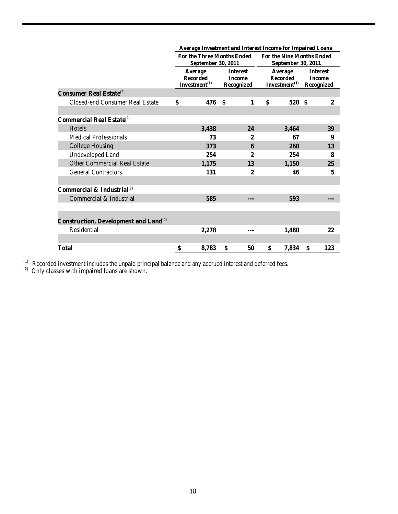|                                              | <b>Average Investment and Interest Income for Impaired Loans</b><br><b>For the Three Months Ended</b><br><b>For the Nine Months Ended</b> |                                                         |    |                                                |    |                                                         |    |                                                |  |  |  |  |
|----------------------------------------------|-------------------------------------------------------------------------------------------------------------------------------------------|---------------------------------------------------------|----|------------------------------------------------|----|---------------------------------------------------------|----|------------------------------------------------|--|--|--|--|
|                                              | September 30, 2011                                                                                                                        | September 30, 2011                                      |    |                                                |    |                                                         |    |                                                |  |  |  |  |
|                                              |                                                                                                                                           | Average<br><b>Recorded</b><br>Investment <sup>(1)</sup> |    | <b>Interest</b><br><b>Income</b><br>Recognized |    | Average<br><b>Recorded</b><br>Investment <sup>(1)</sup> |    | <b>Interest</b><br><b>Income</b><br>Recognized |  |  |  |  |
| <b>Consumer Real Estate</b> <sup>(2)</sup>   |                                                                                                                                           |                                                         |    |                                                |    |                                                         |    |                                                |  |  |  |  |
| <b>Closed-end Consumer Real Estate</b>       | \$                                                                                                                                        | 476                                                     | \$ | $\mathbf{1}$                                   | \$ | 520 \$                                                  |    | $\mathbf{2}$                                   |  |  |  |  |
|                                              |                                                                                                                                           |                                                         |    |                                                |    |                                                         |    |                                                |  |  |  |  |
| <b>Commercial Real Estate</b> <sup>(2)</sup> |                                                                                                                                           |                                                         |    |                                                |    |                                                         |    |                                                |  |  |  |  |
| Hotels                                       |                                                                                                                                           | 3,438                                                   |    | 24                                             |    | 3,464                                                   |    | 39                                             |  |  |  |  |
| <b>Medical Professionals</b>                 |                                                                                                                                           | 73                                                      |    | 2                                              |    | 67                                                      |    | 9                                              |  |  |  |  |
| <b>College Housing</b>                       |                                                                                                                                           | 373                                                     |    | 6                                              |    | 260                                                     |    | 13                                             |  |  |  |  |
| <b>Undeveloped Land</b>                      |                                                                                                                                           | 254                                                     |    | $\mathbf{2}$                                   |    | 254                                                     |    | 8                                              |  |  |  |  |
| <b>Other Commercial Real Estate</b>          |                                                                                                                                           | 1,175                                                   |    | 13                                             |    | 1,150                                                   |    | 25                                             |  |  |  |  |
| <b>General Contractors</b>                   |                                                                                                                                           | 131                                                     |    | $\mathbf{2}$                                   |    | 46                                                      |    | 5                                              |  |  |  |  |
|                                              |                                                                                                                                           |                                                         |    |                                                |    |                                                         |    |                                                |  |  |  |  |
| Commercial & Industrial <sup>(2)</sup>       |                                                                                                                                           |                                                         |    |                                                |    |                                                         |    |                                                |  |  |  |  |
| Commercial & Industrial                      |                                                                                                                                           | 585                                                     |    |                                                |    | 593                                                     |    |                                                |  |  |  |  |
|                                              |                                                                                                                                           |                                                         |    |                                                |    |                                                         |    |                                                |  |  |  |  |
|                                              |                                                                                                                                           |                                                         |    |                                                |    |                                                         |    |                                                |  |  |  |  |
| Construction, Development and Land $^{(2)}$  |                                                                                                                                           |                                                         |    |                                                |    |                                                         |    |                                                |  |  |  |  |
| Residential                                  |                                                                                                                                           | 2,278                                                   |    | ---                                            |    | 1,480                                                   |    | 22                                             |  |  |  |  |
|                                              |                                                                                                                                           |                                                         |    |                                                |    |                                                         |    |                                                |  |  |  |  |
| <b>Total</b>                                 | \$                                                                                                                                        | 8,783                                                   | \$ | 50                                             | \$ | 7,834                                                   | \$ | 123                                            |  |  |  |  |

 $<sup>(1)</sup>$  Recorded investment includes the unpaid principal balance and any accrued interest and deferred fees.</sup>

 $^{(2)}$  Only classes with impaired loans are shown.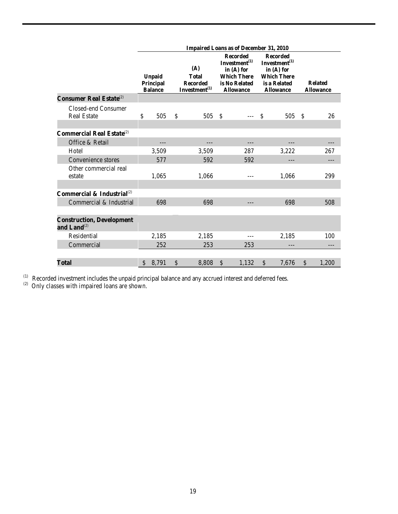|                                                             | <b>Impaired Loans as of December 31, 2010</b> |                                              |    |                                                               |               |                                                                                                                         |               |                                                                                                                  |                                    |       |  |  |  |
|-------------------------------------------------------------|-----------------------------------------------|----------------------------------------------|----|---------------------------------------------------------------|---------------|-------------------------------------------------------------------------------------------------------------------------|---------------|------------------------------------------------------------------------------------------------------------------|------------------------------------|-------|--|--|--|
|                                                             |                                               | <b>Unpaid</b><br>Principal<br><b>Balance</b> |    | (A)<br><b>Total</b><br><b>Recorded</b><br>Investment $^{(1)}$ |               | <b>Recorded</b><br>Investment <sup>(1)</sup><br>in $(A)$ for<br><b>Which There</b><br>is No Related<br><b>Allowance</b> |               | <b>Recorded</b><br>Investment $^{(1)}$<br>in $(A)$ for<br><b>Which There</b><br>is a Related<br><b>Allowance</b> | <b>Related</b><br><b>Allowance</b> |       |  |  |  |
| <b>Consumer Real Estate</b> <sup>(2)</sup>                  |                                               |                                              |    |                                                               |               |                                                                                                                         |               |                                                                                                                  |                                    |       |  |  |  |
| Closed-end Consumer<br><b>Real Estate</b>                   | \$                                            | 505                                          | \$ | 505                                                           | $\mathcal{S}$ |                                                                                                                         | \$            | 505                                                                                                              | <sup>\$</sup>                      | 26    |  |  |  |
| <b>Commercial Real Estate</b> $^{(2)}$                      |                                               |                                              |    |                                                               |               |                                                                                                                         |               |                                                                                                                  |                                    |       |  |  |  |
| Office & Retail                                             |                                               | ---                                          |    | ---                                                           |               | ---                                                                                                                     |               |                                                                                                                  |                                    |       |  |  |  |
| Hotel                                                       |                                               | 3,509                                        |    | 3,509                                                         |               | 287                                                                                                                     |               | 3,222                                                                                                            |                                    | 267   |  |  |  |
| Convenience stores                                          |                                               | 577                                          |    | 592                                                           |               | 592                                                                                                                     |               |                                                                                                                  |                                    |       |  |  |  |
| Other commercial real<br>estate                             |                                               | 1,065                                        |    | 1,066                                                         |               |                                                                                                                         |               | 1,066                                                                                                            |                                    | 299   |  |  |  |
| Commercial & Industrial <sup>(2)</sup>                      |                                               |                                              |    |                                                               |               |                                                                                                                         |               |                                                                                                                  |                                    |       |  |  |  |
| Commercial & Industrial                                     |                                               | 698                                          |    | 698                                                           |               | ---                                                                                                                     |               | 698                                                                                                              |                                    | 508   |  |  |  |
| <b>Construction, Development</b><br>and $\text{Land}^{(2)}$ |                                               |                                              |    |                                                               |               |                                                                                                                         |               |                                                                                                                  |                                    |       |  |  |  |
| Residential                                                 |                                               | 2,185                                        |    | 2,185                                                         |               |                                                                                                                         |               | 2,185                                                                                                            |                                    | 100   |  |  |  |
| Commercial                                                  |                                               | 252                                          |    | 253                                                           |               | 253                                                                                                                     |               |                                                                                                                  |                                    | $---$ |  |  |  |
|                                                             |                                               |                                              |    |                                                               |               |                                                                                                                         |               |                                                                                                                  |                                    |       |  |  |  |
| <b>Total</b>                                                |                                               | \$8,791                                      | \$ | 8,808                                                         | $\mathcal{S}$ | 1,132                                                                                                                   | $\mathcal{S}$ | 7,676                                                                                                            | $\mathcal{S}$                      | 1,200 |  |  |  |

 $<sup>(1)</sup>$  Recorded investment includes the unpaid principal balance and any accrued interest and deferred fees.</sup>

 $^{(2)}$  Only classes with impaired loans are shown.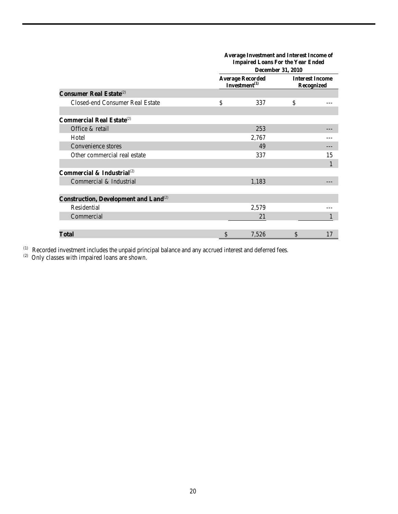|                                            | Average Investment and Interest Income of<br><b>Impaired Loans For the Year Ended</b><br><b>December 31, 2010</b> |                                                |    |                                      |  |  |
|--------------------------------------------|-------------------------------------------------------------------------------------------------------------------|------------------------------------------------|----|--------------------------------------|--|--|
|                                            |                                                                                                                   | <b>Average Recorded</b><br>Investment $^{(1)}$ |    | <b>Interest Income</b><br>Recognized |  |  |
| <b>Consumer Real Estate</b> <sup>(2)</sup> |                                                                                                                   |                                                |    |                                      |  |  |
| Closed-end Consumer Real Estate            | \$                                                                                                                | 337                                            | \$ |                                      |  |  |
|                                            |                                                                                                                   |                                                |    |                                      |  |  |
| Commercial Real Estate <sup>(2)</sup>      |                                                                                                                   |                                                |    |                                      |  |  |
| Office & retail                            |                                                                                                                   | 253                                            |    |                                      |  |  |
| Hotel                                      |                                                                                                                   | 2,767                                          |    |                                      |  |  |
| Convenience stores                         |                                                                                                                   | 49                                             |    |                                      |  |  |
| Other commercial real estate               |                                                                                                                   | 337                                            |    | 15                                   |  |  |
|                                            |                                                                                                                   |                                                |    | 1                                    |  |  |
| Commercial & Industrial <sup>(2)</sup>     |                                                                                                                   |                                                |    |                                      |  |  |
| Commercial & Industrial                    |                                                                                                                   | 1,183                                          |    |                                      |  |  |
|                                            |                                                                                                                   |                                                |    |                                      |  |  |
| Construction, Development and $Land(2)$    |                                                                                                                   |                                                |    |                                      |  |  |
| Residential                                |                                                                                                                   | 2,579                                          |    |                                      |  |  |
| Commercial                                 |                                                                                                                   | 21                                             |    |                                      |  |  |
|                                            |                                                                                                                   |                                                |    |                                      |  |  |
| Total                                      | \$                                                                                                                | 7,526                                          | \$ | 17                                   |  |  |

 $<sup>(1)</sup>$  Recorded investment includes the unpaid principal balance and any accrued interest and deferred fees.</sup>

 $^{(2)}$  Only classes with impaired loans are shown.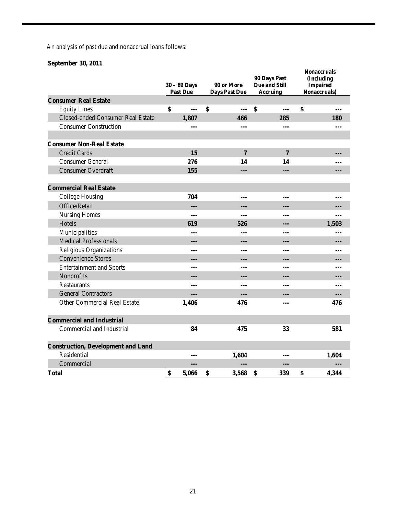An analysis of past due and nonaccrual loans follows:

# **September 30, 2011**

|                                           | $30 - 89$ Days<br><b>Past Due</b> | 90 or More<br><b>Days Past Due</b> | 90 Days Past<br>Due and Still<br><b>Accruing</b> |                | <b>Nonaccruals</b><br>(Including<br><b>Impaired</b><br>Nonaccruals) |
|-------------------------------------------|-----------------------------------|------------------------------------|--------------------------------------------------|----------------|---------------------------------------------------------------------|
| <b>Consumer Real Estate</b>               |                                   |                                    |                                                  |                |                                                                     |
| <b>Equity Lines</b>                       | \$<br>---                         | \$<br>---                          | \$                                               | ---            | \$<br>---                                                           |
| <b>Closed-ended Consumer Real Estate</b>  | 1,807                             | 466                                |                                                  | 285            | 180                                                                 |
| <b>Consumer Construction</b>              | ---                               | ---                                |                                                  | ---            | ---                                                                 |
| <b>Consumer Non-Real Estate</b>           |                                   |                                    |                                                  |                |                                                                     |
| <b>Credit Cards</b>                       | 15                                | $\overline{7}$                     |                                                  | $\overline{7}$ |                                                                     |
| <b>Consumer General</b>                   | 276                               | 14                                 |                                                  | 14             |                                                                     |
| <b>Consumer Overdraft</b>                 | 155                               | ---                                |                                                  | ---            |                                                                     |
| <b>Commercial Real Estate</b>             |                                   |                                    |                                                  |                |                                                                     |
| <b>College Housing</b>                    | 704                               | ---                                |                                                  | $---$          | ---                                                                 |
| Office/Retail                             | ---                               | ---                                |                                                  | ---            |                                                                     |
| <b>Nursing Homes</b>                      | ---                               | ---                                |                                                  | ---            | ---                                                                 |
| Hotels                                    | 619                               | 526                                |                                                  | ---            | 1,503                                                               |
| Municipalities                            | ---                               | ---                                |                                                  | ---            | ---                                                                 |
| <b>Medical Professionals</b>              | ---                               | ---                                |                                                  | ---            | ---                                                                 |
| Religious Organizations                   | ---                               | ---                                |                                                  | ---            | ---                                                                 |
| <b>Convenience Stores</b>                 | ---                               | ---                                |                                                  | ---            | ---                                                                 |
| <b>Entertainment and Sports</b>           | ---                               | ---                                |                                                  | ---            |                                                                     |
| Nonprofits                                | ---                               | ---                                |                                                  | ---            |                                                                     |
| <b>Restaurants</b>                        | ---                               | ---                                |                                                  | ---            |                                                                     |
| <b>General Contractors</b>                | ---                               | ---                                |                                                  | $---$          | ---                                                                 |
| Other Commercial Real Estate              | 1,406                             | 476                                |                                                  | ---            | 476                                                                 |
| <b>Commercial and Industrial</b>          |                                   |                                    |                                                  |                |                                                                     |
| Commercial and Industrial                 | 84                                | 475                                |                                                  | 33             | 581                                                                 |
| <b>Construction, Development and Land</b> |                                   |                                    |                                                  |                |                                                                     |
| Residential                               | ---                               | 1,604                              |                                                  | ---            | 1,604                                                               |
| Commercial                                | ---                               | ---                                |                                                  | ---            |                                                                     |
| <b>Total</b>                              | \$<br>5,066                       | \$<br>3,568                        | \$                                               | 339            | \$<br>4,344                                                         |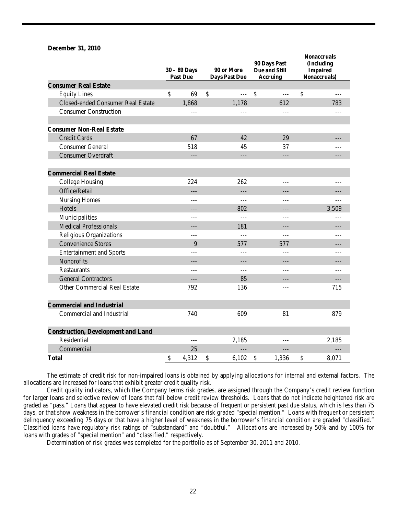# **December 31, 2010**

|                                           |              | $30 - 89$ Days<br><b>Past Due</b> |               | 90 or More<br><b>Days Past Due</b> | 90 Days Past<br>Due and Still<br><b>Accruing</b> |               |               |  | <b>Nonaccruals</b><br>(Including<br><b>Impaired</b><br>Nonaccruals) |
|-------------------------------------------|--------------|-----------------------------------|---------------|------------------------------------|--------------------------------------------------|---------------|---------------|--|---------------------------------------------------------------------|
| <b>Consumer Real Estate</b>               |              |                                   |               |                                    |                                                  |               |               |  |                                                                     |
| <b>Equity Lines</b>                       | $\mathbb{S}$ | 69                                | $\mathcal{S}$ | $\overline{a}$                     | $\mathcal{S}$                                    | $\frac{1}{2}$ | \$<br>$- - -$ |  |                                                                     |
| <b>Closed-ended Consumer Real Estate</b>  |              | 1,868                             |               | 1,178                              |                                                  | 612           | 783           |  |                                                                     |
| <b>Consumer Construction</b>              |              | $---$                             |               | $- - -$                            |                                                  | $- - -$       | ---           |  |                                                                     |
| <b>Consumer Non-Real Estate</b>           |              |                                   |               |                                    |                                                  |               |               |  |                                                                     |
| <b>Credit Cards</b>                       |              | 67                                |               | 42.                                |                                                  | 29            |               |  |                                                                     |
| <b>Consumer General</b>                   |              | 518                               |               | 45                                 |                                                  | 37            | ---           |  |                                                                     |
| <b>Consumer Overdraft</b>                 |              | ---                               |               | $---$                              |                                                  | $---$         |               |  |                                                                     |
| <b>Commercial Real Estate</b>             |              |                                   |               |                                    |                                                  |               |               |  |                                                                     |
| <b>College Housing</b>                    |              | 224                               |               | 262                                |                                                  | $---$         | ---           |  |                                                                     |
| Office/Retail                             |              |                                   |               | ---                                |                                                  |               |               |  |                                                                     |
| <b>Nursing Homes</b>                      |              | $---$                             |               | $---$                              |                                                  | $---$         | $- - -$       |  |                                                                     |
| Hotels                                    |              |                                   |               | 802                                |                                                  | $---$         | 3,509         |  |                                                                     |
| Municipalities                            |              | ---                               |               | $\sim$                             |                                                  | $---$         |               |  |                                                                     |
| <b>Medical Professionals</b>              |              | ---                               |               | 181                                |                                                  | $---$         |               |  |                                                                     |
| Religious Organizations                   |              | $---$                             |               | $\sim$                             |                                                  | $---$         | $ -$          |  |                                                                     |
| <b>Convenience Stores</b>                 |              | 9                                 |               | 577                                |                                                  | 577           |               |  |                                                                     |
| <b>Entertainment and Sports</b>           |              | ---                               |               | ---                                |                                                  | ---           |               |  |                                                                     |
| Nonprofits                                |              | ---                               |               | $---$                              |                                                  |               |               |  |                                                                     |
| <b>Restaurants</b>                        |              | ---                               |               | $---$                              |                                                  | $---$         | ---           |  |                                                                     |
| <b>General Contractors</b>                |              | ---                               |               | 85                                 |                                                  | ---           | $---$         |  |                                                                     |
| Other Commercial Real Estate              |              | 792                               |               | 136                                |                                                  | ---           | 715           |  |                                                                     |
| <b>Commercial and Industrial</b>          |              |                                   |               |                                    |                                                  |               |               |  |                                                                     |
| Commercial and Industrial                 |              | 740                               |               | 609                                |                                                  | 81            | 879           |  |                                                                     |
| <b>Construction, Development and Land</b> |              |                                   |               |                                    |                                                  |               |               |  |                                                                     |
| Residential                               |              | ---                               |               | 2,185                              |                                                  | $-$ - $-$     | 2,185         |  |                                                                     |
| Commercial                                |              | 25                                |               |                                    |                                                  |               |               |  |                                                                     |
| <b>Total</b>                              | \$           | 4,312                             | \$            | 6,102                              | $\mathcal{S}$<br>1,336                           |               | \$<br>8,071   |  |                                                                     |

The estimate of credit risk for non-impaired loans is obtained by applying allocations for internal and external factors. The allocations are increased for loans that exhibit greater credit quality risk.

Credit quality indicators, which the Company terms risk grades, are assigned through the Company's credit review function for larger loans and selective review of loans that fall below credit review thresholds. Loans that do not indicate heightened risk are graded as "pass." Loans that appear to have elevated credit risk because of frequent or persistent past due status, which is less than 75 days, or that show weakness in the borrower's financial condition are risk graded "special mention." Loans with frequent or persistent delinquency exceeding 75 days or that have a higher level of weakness in the borrower's financial condition are graded "classified." Classified loans have regulatory risk ratings of "substandard" and "doubtful." Allocations are increased by 50% and by 100% for loans with grades of "special mention" and "classified," respectively.

Determination of risk grades was completed for the portfolio as of September 30, 2011 and 2010.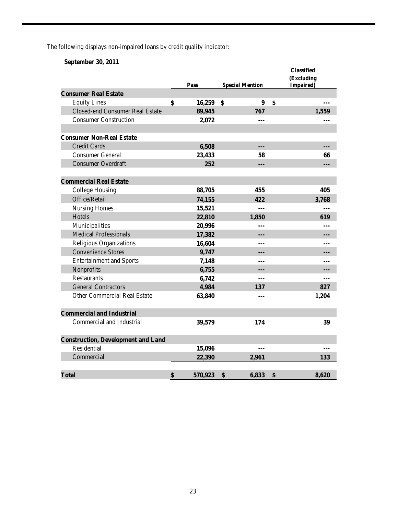The following displays non-impaired loans by credit quality indicator:

# **September 30, 2011**

|                                           |               |                        | <b>Classified</b> |
|-------------------------------------------|---------------|------------------------|-------------------|
|                                           |               |                        | (Excluding        |
|                                           | Pass          | <b>Special Mention</b> | Impaired)         |
| <b>Consumer Real Estate</b>               |               |                        |                   |
| <b>Equity Lines</b>                       | \$<br>16,259  | \$<br>9                | \$<br>---         |
| <b>Closed-end Consumer Real Estate</b>    | 89,945        | 767                    | 1,559             |
| <b>Consumer Construction</b>              | 2,072         | ---                    |                   |
| <b>Consumer Non-Real Estate</b>           |               |                        |                   |
| <b>Credit Cards</b>                       | 6,508         | ---                    |                   |
| <b>Consumer General</b>                   | 23,433        | 58                     | 66                |
| <b>Consumer Overdraft</b>                 | 252           | ---                    | ---               |
|                                           |               |                        |                   |
| <b>Commercial Real Estate</b>             |               |                        |                   |
| <b>College Housing</b>                    | 88,705        | 455                    | 405               |
| Office/Retail                             | 74,155        | 422                    | 3,768             |
| <b>Nursing Homes</b>                      | 15,521        | ---                    | ---               |
| Hotels                                    | 22,810        | 1,850                  | 619               |
| Municipalities                            | 20,996        | ---                    |                   |
| <b>Medical Professionals</b>              | 17,382        | ---                    |                   |
| Religious Organizations                   | 16,604        | ---                    |                   |
| <b>Convenience Stores</b>                 | 9,747         | ---                    |                   |
| <b>Entertainment and Sports</b>           | 7,148         | ---                    |                   |
| Nonprofits                                | 6,755         | ---                    |                   |
| Restaurants                               | 6,742         | ---                    | $- - -$           |
| <b>General Contractors</b>                | 4,984         | 137                    | 827               |
| <b>Other Commercial Real Estate</b>       | 63,840        | ---                    | 1,204             |
| <b>Commercial and Industrial</b>          |               |                        |                   |
| Commercial and Industrial                 | 39,579        | 174                    | 39                |
|                                           |               |                        |                   |
| <b>Construction, Development and Land</b> |               |                        |                   |
| Residential                               | 15,096        | ---                    | $- - -$           |
| Commercial                                | 22,390        | 2,961                  | 133               |
| <b>Total</b>                              | \$<br>570,923 | \$<br>6,833            | \$<br>8,620       |
|                                           |               |                        |                   |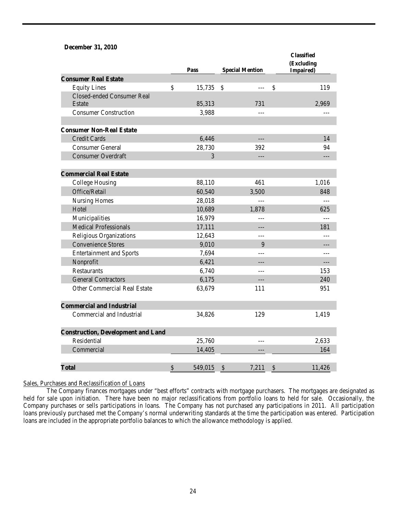# **December 31, 2010**

|                                           |               | Pass    | <b>Special Mention</b> | <b>Classified</b><br>(Excluding<br>Impaired) |
|-------------------------------------------|---------------|---------|------------------------|----------------------------------------------|
| <b>Consumer Real Estate</b>               |               |         |                        |                                              |
| <b>Equity Lines</b>                       | $\mathcal{S}$ | 15,735  | \$<br>ш.,              | \$<br>119                                    |
| Closed-ended Consumer Real                |               |         |                        |                                              |
| Estate                                    |               | 85,313  | 731                    | 2,969                                        |
| <b>Consumer Construction</b>              |               | 3,988   | ---                    |                                              |
| <b>Consumer Non-Real Estate</b>           |               |         |                        |                                              |
| <b>Credit Cards</b>                       |               | 6,446   | ---                    | 14                                           |
| <b>Consumer General</b>                   |               | 28,730  | 392                    | 94                                           |
| <b>Consumer Overdraft</b>                 |               | 3       |                        |                                              |
| <b>Commercial Real Estate</b>             |               |         |                        |                                              |
| <b>College Housing</b>                    |               | 88,110  | 461                    | 1,016                                        |
| Office/Retail                             |               | 60,540  | 3,500                  | 848                                          |
| <b>Nursing Homes</b>                      |               | 28,018  | ---                    |                                              |
| Hotel                                     |               | 10,689  | 1,878                  | 625                                          |
| Municipalities                            |               | 16,979  | $---$                  |                                              |
| <b>Medical Professionals</b>              |               | 17,111  | ---                    | 181                                          |
| Religious Organizations                   |               | 12,643  | ---                    |                                              |
| <b>Convenience Stores</b>                 |               | 9,010   | 9                      |                                              |
| <b>Entertainment and Sports</b>           |               | 7,694   | ---                    |                                              |
| Nonprofit                                 |               | 6,421   | $---$                  | ---                                          |
| Restaurants                               |               | 6,740   | $- - -$                | 153                                          |
| <b>General Contractors</b>                |               | 6,175   | ---                    | 240                                          |
| Other Commercial Real Estate              |               | 63,679  | 111                    | 951                                          |
| <b>Commercial and Industrial</b>          |               |         |                        |                                              |
| Commercial and Industrial                 |               | 34,826  | 129                    | 1,419                                        |
| <b>Construction, Development and Land</b> |               |         |                        |                                              |
| Residential                               |               | 25,760  | $---$                  | 2,633                                        |
| Commercial                                |               | 14,405  | ---                    | 164                                          |
| <b>Total</b>                              | \$            | 549,015 | \$<br>7,211            | \$<br>11,426                                 |

#### Sales, Purchases and Reclassification of Loans

The Company finances mortgages under "best efforts" contracts with mortgage purchasers. The mortgages are designated as held for sale upon initiation. There have been no major reclassifications from portfolio loans to held for sale. Occasionally, the Company purchases or sells participations in loans. The Company has not purchased any participations in 2011. All participation loans previously purchased met the Company's normal underwriting standards at the time the participation was entered. Participation loans are included in the appropriate portfolio balances to which the allowance methodology is applied.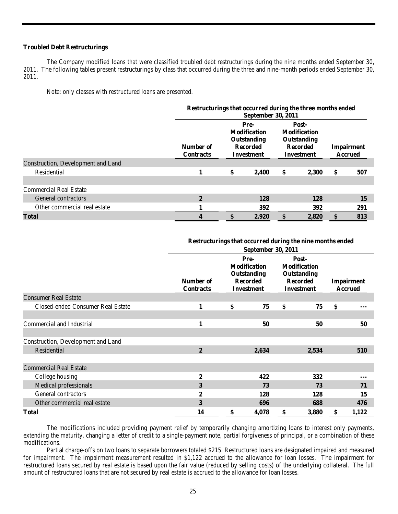### **Troubled Debt Restructurings**

The Company modified loans that were classified troubled debt restructurings during the nine months ended September 30, 2011. The following tables present restructurings by class that occurred during the three and nine-month periods ended September 30, 2011.

Note: only classes with restructured loans are presented.

|                                    | Restructurings that occurred during the three months ended<br><b>September 30, 2011</b> |                                                                             |       |                                                                                     |            |    |                              |  |  |  |
|------------------------------------|-----------------------------------------------------------------------------------------|-----------------------------------------------------------------------------|-------|-------------------------------------------------------------------------------------|------------|----|------------------------------|--|--|--|
|                                    | Number of<br><b>Contracts</b>                                                           | Pre-<br><b>Modification</b><br>Outstanding<br><b>Recorded</b><br>Investment |       | Post-<br><b>Modification</b><br>Outstanding<br><b>Recorded</b><br><b>Investment</b> |            |    | Impairment<br><b>Accrued</b> |  |  |  |
| Construction, Development and Land |                                                                                         |                                                                             |       |                                                                                     |            |    |                              |  |  |  |
| Residential                        | 1                                                                                       | \$                                                                          | 2,400 | \$                                                                                  | 2,300      | \$ | 507                          |  |  |  |
| <b>Commercial Real Estate</b>      |                                                                                         |                                                                             |       |                                                                                     |            |    |                              |  |  |  |
| General contractors                | $\mathbf{2}$                                                                            |                                                                             | 128   |                                                                                     | <b>128</b> |    | 15                           |  |  |  |
| Other commercial real estate       |                                                                                         |                                                                             | 392   |                                                                                     | 392        |    | 291                          |  |  |  |
| Total                              | $\overline{\mathbf{4}}$                                                                 | \$                                                                          | 2.920 | \$                                                                                  | 2,820      | \$ | 813                          |  |  |  |

#### **Restructurings that occurred during the nine months ended**

|                                    | <b>September 30, 2011</b>     |                                                                                    |                                                                                     |                                     |  |  |  |  |  |
|------------------------------------|-------------------------------|------------------------------------------------------------------------------------|-------------------------------------------------------------------------------------|-------------------------------------|--|--|--|--|--|
|                                    | Number of<br><b>Contracts</b> | Pre-<br><b>Modification</b><br>Outstanding<br><b>Recorded</b><br><b>Investment</b> | Post-<br><b>Modification</b><br>Outstanding<br><b>Recorded</b><br><b>Investment</b> | <b>Impairment</b><br><b>Accrued</b> |  |  |  |  |  |
| <b>Consumer Real Estate</b>        |                               |                                                                                    |                                                                                     |                                     |  |  |  |  |  |
| Closed-ended Consumer Real Estate  | 1                             | \$<br>75                                                                           | \$<br>75                                                                            | \$<br>---                           |  |  |  |  |  |
|                                    |                               |                                                                                    |                                                                                     |                                     |  |  |  |  |  |
| Commercial and Industrial          | 1                             | 50                                                                                 | 50                                                                                  | 50                                  |  |  |  |  |  |
|                                    |                               |                                                                                    |                                                                                     |                                     |  |  |  |  |  |
| Construction, Development and Land |                               |                                                                                    |                                                                                     |                                     |  |  |  |  |  |
| Residential                        | $\overline{2}$                | 2,634                                                                              | 2,534                                                                               | 510                                 |  |  |  |  |  |
|                                    |                               |                                                                                    |                                                                                     |                                     |  |  |  |  |  |
| <b>Commercial Real Estate</b>      |                               |                                                                                    |                                                                                     |                                     |  |  |  |  |  |
| College housing                    | $\mathbf{2}$                  | 422                                                                                | 332                                                                                 | ---                                 |  |  |  |  |  |
| Medical professionals              | 3                             | 73                                                                                 | 73                                                                                  | 71                                  |  |  |  |  |  |
| General contractors                | $\mathbf{2}$                  | 128                                                                                | 128                                                                                 | 15                                  |  |  |  |  |  |
| Other commercial real estate       | 3                             | 696                                                                                | 688                                                                                 | 476                                 |  |  |  |  |  |
| <b>Total</b>                       | 14                            | \$<br>4,078                                                                        | \$<br>3,880                                                                         | \$<br>1,122                         |  |  |  |  |  |

The modifications included providing payment relief by temporarily changing amortizing loans to interest only payments, extending the maturity, changing a letter of credit to a single-payment note, partial forgiveness of principal, or a combination of these modifications.

Partial charge-offs on two loans to separate borrowers totaled \$215. Restructured loans are designated impaired and measured for impairment. The impairment measurement resulted in \$1,122 accrued to the allowance for loan losses. The impairment for restructured loans secured by real estate is based upon the fair value (reduced by selling costs) of the underlying collateral. The full amount of restructured loans that are not secured by real estate is accrued to the allowance for loan losses.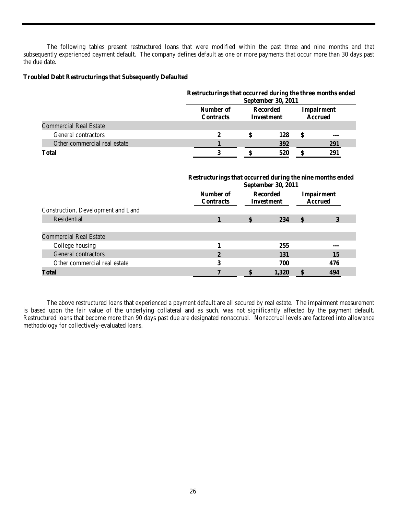The following tables present restructured loans that were modified within the past three and nine months and that subsequently experienced payment default. The company defines default as one or more payments that occur more than 30 days past the due date.

### **Troubled Debt Restructurings that Subsequently Defaulted**

|                              |                               | Restructurings that occurred during the three months ended<br><b>September 30, 2011</b> |                                      |   |                              |  |  |  |  |  |
|------------------------------|-------------------------------|-----------------------------------------------------------------------------------------|--------------------------------------|---|------------------------------|--|--|--|--|--|
|                              | Number of<br><b>Contracts</b> |                                                                                         | <b>Recorded</b><br><b>Investment</b> |   | Impairment<br><b>Accrued</b> |  |  |  |  |  |
| Commercial Real Estate       |                               |                                                                                         |                                      |   |                              |  |  |  |  |  |
| General contractors          |                               |                                                                                         | 128                                  | S | $---$                        |  |  |  |  |  |
| Other commercial real estate |                               |                                                                                         | 392                                  |   | 291                          |  |  |  |  |  |
| <b>Total</b>                 |                               |                                                                                         | 520                                  |   | 291                          |  |  |  |  |  |

|                                    | Restructurings that occurred during the nine months ended<br><b>September 30, 2011</b> |    |       |                              |     |  |  |  |  |
|------------------------------------|----------------------------------------------------------------------------------------|----|-------|------------------------------|-----|--|--|--|--|
|                                    | Number of<br><b>Recorded</b><br><b>Contracts</b><br><b>Investment</b>                  |    |       | Impairment<br><b>Accrued</b> |     |  |  |  |  |
| Construction, Development and Land |                                                                                        |    |       |                              |     |  |  |  |  |
| Residential                        |                                                                                        | \$ | 234   | \$                           | 3   |  |  |  |  |
|                                    |                                                                                        |    |       |                              |     |  |  |  |  |
| <b>Commercial Real Estate</b>      |                                                                                        |    |       |                              |     |  |  |  |  |
| College housing                    |                                                                                        |    | 255   |                              | --- |  |  |  |  |
| General contractors                | $\mathbf{2}$                                                                           |    | 131   |                              | 15  |  |  |  |  |
| Other commercial real estate       | 3                                                                                      |    | 700   |                              | 476 |  |  |  |  |
| Total                              | 7                                                                                      |    | 1.320 | \$                           | 494 |  |  |  |  |

The above restructured loans that experienced a payment default are all secured by real estate. The impairment measurement is based upon the fair value of the underlying collateral and as such, was not significantly affected by the payment default. Restructured loans that become more than 90 days past due are designated nonaccrual. Nonaccrual levels are factored into allowance methodology for collectively-evaluated loans.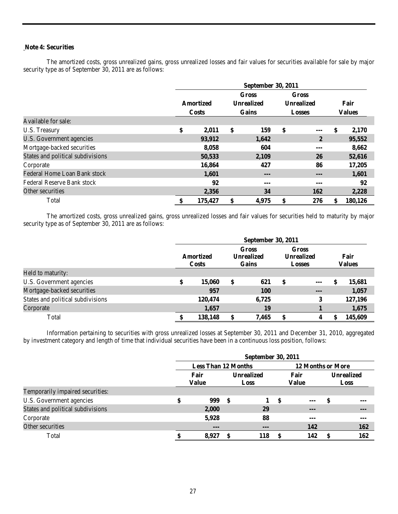# **Note 4: Securities**

The amortized costs, gross unrealized gains, gross unrealized losses and fair values for securities available for sale by major security type as of September 30, 2011 are as follows:

|                                   | September 30, 2011 |       |            |                   |              |    |               |  |  |  |
|-----------------------------------|--------------------|-------|------------|-------------------|--------------|----|---------------|--|--|--|
|                                   |                    |       | Gross      |                   | <b>Gross</b> |    |               |  |  |  |
|                                   | Amortized          |       | Unrealized | <b>Unrealized</b> |              |    | Fair          |  |  |  |
|                                   | Costs              | Gains |            | <b>Losses</b>     |              |    | <b>Values</b> |  |  |  |
| Available for sale:               |                    |       |            |                   |              |    |               |  |  |  |
| U.S. Treasury                     | \$<br>2,011        | \$    | 159        | \$                | ---          | \$ | 2,170         |  |  |  |
| U.S. Government agencies          | 93,912             |       | 1,642      |                   | $\mathbf{2}$ |    | 95,552        |  |  |  |
| Mortgage-backed securities        | 8,058              |       | 604        |                   | ---          |    | 8,662         |  |  |  |
| States and political subdivisions | 50,533             |       | 2,109      |                   | 26           |    | 52,616        |  |  |  |
| Corporate                         | 16,864             |       | 427        |                   | 86           |    | 17,205        |  |  |  |
| Federal Home Loan Bank stock      | 1,601              |       | ---        |                   | $---$        |    | 1,601         |  |  |  |
| Federal Reserve Bank stock        | 92                 |       | ---        |                   | ---          |    | 92            |  |  |  |
| Other securities                  | 2,356              |       | 34         |                   | 162          |    | 2,228         |  |  |  |
| Total                             | \$<br>175,427      | \$    | 4,975      | \$                | 276          | \$ | 180.126       |  |  |  |

The amortized costs, gross unrealized gains, gross unrealized losses and fair values for securities held to maturity by major security type as of September 30, 2011 are as follows:

|                                   |                           | <b>September 30, 2011</b> |                                     |            |                                             |         |                |         |  |  |  |  |
|-----------------------------------|---------------------------|---------------------------|-------------------------------------|------------|---------------------------------------------|---------|----------------|---------|--|--|--|--|
|                                   | Amortized<br><b>Costs</b> |                           | <b>Gross</b><br>Unrealized<br>Gains |            | Gross<br><b>Unrealized</b><br><b>Losses</b> |         | Fair<br>Values |         |  |  |  |  |
| Held to maturity:                 |                           |                           |                                     |            |                                             |         |                |         |  |  |  |  |
| U.S. Government agencies          | \$                        | 15,060                    | \$                                  | 621        | \$                                          | $--$    | \$             | 15,681  |  |  |  |  |
| Mortgage-backed securities        |                           | 957                       |                                     | <b>100</b> |                                             | $- - -$ |                | 1,057   |  |  |  |  |
| States and political subdivisions |                           | 120,474                   |                                     | 6,725      |                                             | 3       |                | 127,196 |  |  |  |  |
| Corporate                         |                           | 1,657                     |                                     | 19         |                                             |         |                | 1,675   |  |  |  |  |
| Total                             |                           | 138,148                   | S                                   | 7,465      |                                             |         | \$             | 145,609 |  |  |  |  |

Information pertaining to securities with gross unrealized losses at September 30, 2011 and December 31, 2010, aggregated by investment category and length of time that individual securities have been in a continuous loss position, follows:

|                                   | September 30, 2011         |         |                           |      |                      |                   |                           |      |  |
|-----------------------------------|----------------------------|---------|---------------------------|------|----------------------|-------------------|---------------------------|------|--|
|                                   | <b>Less Than 12 Months</b> |         |                           |      |                      | 12 Months or More |                           |      |  |
|                                   | Fair<br><b>Value</b>       |         | <b>Unrealized</b><br>Loss |      | Fair<br><b>Value</b> |                   | <b>Unrealized</b><br>Loss |      |  |
| Temporarily impaired securities:  |                            |         |                           |      |                      |                   |                           |      |  |
| U.S. Government agencies          | \$                         | 999     | -S                        | 1    | -S                   | $--$              |                           | $--$ |  |
| States and political subdivisions |                            | 2,000   |                           | 29   |                      | $- - -$           |                           | ---  |  |
| Corporate                         |                            | 5,928   |                           | 88   |                      | $- - -$           |                           | $--$ |  |
| Other securities                  |                            | $- - -$ |                           | $--$ |                      | 142               |                           | 162  |  |
| Total                             |                            | 8,927   |                           | 118  |                      | 142               |                           | 162  |  |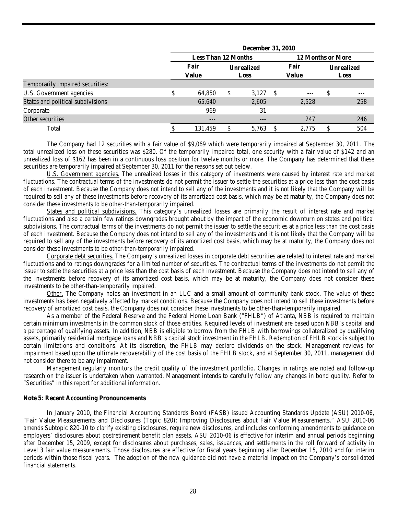|                                   |    |                                  | <b>December 31, 2010</b> |                          |      |                           |    |     |
|-----------------------------------|----|----------------------------------|--------------------------|--------------------------|------|---------------------------|----|-----|
|                                   |    | <b>Less Than 12 Months</b>       |                          | <b>12 Months or More</b> |      |                           |    |     |
|                                   |    | <b>Unrealized</b><br><b>Loss</b> |                          | Fair<br><b>Value</b>     |      | <b>Unrealized</b><br>Loss |    |     |
| Temporarily impaired securities:  |    |                                  |                          |                          |      |                           |    |     |
| U.S. Government agencies          | \$ | 64,850                           | \$                       | 3,127                    | - \$ | $- - -$                   | \$ |     |
| States and political subdivisions |    | 65,640                           |                          | 2,605                    |      | 2,528                     |    | 258 |
| Corporate                         |    | 969                              |                          | 31                       |      | $- - -$                   |    | --- |
| Other securities                  |    | $---$                            |                          | $- - -$                  |      | 247                       |    | 246 |
| Total                             |    | 131,459                          |                          | 5,763                    |      | 2.775                     |    | 504 |

The Company had 12 securities with a fair value of \$9,069 which were temporarily impaired at September 30, 2011. The total unrealized loss on these securities was \$280. Of the temporarily impaired total, one security with a fair value of \$142 and an unrealized loss of \$162 has been in a continuous loss position for twelve months or more. The Company has determined that these securities are temporarily impaired at September 30, 2011 for the reasons set out below.

U.S. Government agencies. The unrealized losses in this category of investments were caused by interest rate and market fluctuations. The contractual terms of the investments do not permit the issuer to settle the securities at a price less than the cost basis of each investment. Because the Company does not intend to sell any of the investments and it is not likely that the Company will be required to sell any of these investments before recovery of its amortized cost basis, which may be at maturity, the Company does not consider these investments to be other-than-temporarily impaired.

States and political subdivisions. This category's unrealized losses are primarily the result of interest rate and market fluctuations and also a certain few ratings downgrades brought about by the impact of the economic downturn on states and political subdivisions. The contractual terms of the investments do not permit the issuer to settle the securities at a price less than the cost basis of each investment. Because the Company does not intend to sell any of the investments and it is not likely that the Company will be required to sell any of the investments before recovery of its amortized cost basis, which may be at maturity, the Company does not consider these investments to be other-than-temporarily impaired.

Corporate debt securities. The Company's unrealized losses in corporate debt securities are related to interest rate and market fluctuations and to ratings downgrades for a limited number of securities. The contractual terms of the investments do not permit the issuer to settle the securities at a price less than the cost basis of each investment. Because the Company does not intend to sell any of the investments before recovery of its amortized cost basis, which may be at maturity, the Company does not consider these investments to be other-than-temporarily impaired.

Other. The Company holds an investment in an LLC and a small amount of community bank stock. The value of these investments has been negatively affected by market conditions. Because the Company does not intend to sell these investments before recovery of amortized cost basis, the Company does not consider these investments to be other-than-temporarily impaired.

As a member of the Federal Reserve and the Federal Home Loan Bank ("FHLB") of Atlanta, NBB is required to maintain certain minimum investments in the common stock of those entities. Required levels of investment are based upon NBB's capital and a percentage of qualifying assets. In addition, NBB is eligible to borrow from the FHLB with borrowings collateralized by qualifying assets, primarily residential mortgage loans and NBB's capital stock investment in the FHLB. Redemption of FHLB stock is subject to certain limitations and conditions. At its discretion, the FHLB may declare dividends on the stock. Management reviews for impairment based upon the ultimate recoverability of the cost basis of the FHLB stock, and at September 30, 2011, management did not consider there to be any impairment.

Management regularly monitors the credit quality of the investment portfolio. Changes in ratings are noted and follow-up research on the issuer is undertaken when warranted. Management intends to carefully follow any changes in bond quality. Refer to "Securities" in this report for additional information.

#### **Note 5: Recent Accounting Pronouncements**

In January 2010, the Financial Accounting Standards Board (FASB) issued Accounting Standards Update (ASU) 2010-06, "Fair Value Measurements and Disclosures (Topic 820): Improving Disclosures about Fair Value Measurements." ASU 2010-06 amends Subtopic 820-10 to clarify existing disclosures, require new disclosures, and includes conforming amendments to guidance on employers' disclosures about postretirement benefit plan assets. ASU 2010-06 is effective for interim and annual periods beginning after December 15, 2009, except for disclosures about purchases, sales, issuances, and settlements in the roll forward of activity in Level 3 fair value measurements. Those disclosures are effective for fiscal years beginning after December 15, 2010 and for interim periods within those fiscal years. The adoption of the new guidance did not have a material impact on the Company's consolidated financial statements.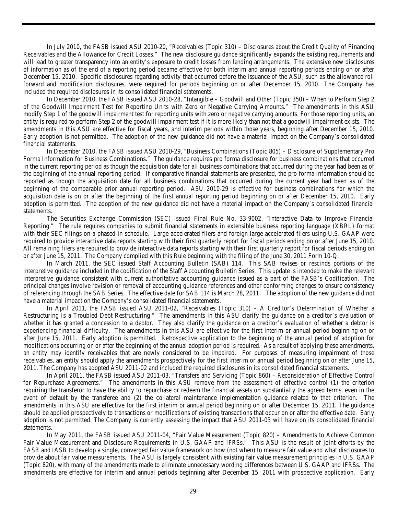In July 2010, the FASB issued ASU 2010-20, "Receivables (Topic 310) – Disclosures about the Credit Quality of Financing Receivables and the Allowance for Credit Losses." The new disclosure guidance significantly expands the existing requirements and will lead to greater transparency into an entity's exposure to credit losses from lending arrangements. The extensive new disclosures of information as of the end of a reporting period became effective for both interim and annual reporting periods ending on or after December 15, 2010. Specific disclosures regarding activity that occurred before the issuance of the ASU, such as the allowance roll forward and modification disclosures, were required for periods beginning on or after December 15, 2010. The Company has included the required disclosures in its consolidated financial statements.

In December 2010, the FASB issued ASU 2010-28, "Intangible – Goodwill and Other (Topic 350) – When to Perform Step 2 of the Goodwill Impairment Test for Reporting Units with Zero or Negative Carrying Amounts." The amendments in this ASU modify Step 1 of the goodwill impairment test for reporting units with zero or negative carrying amounts. For those reporting units, an entity is required to perform Step 2 of the goodwill impairment test if it is more likely than not that a goodwill impairment exists. The amendments in this ASU are effective for fiscal years, and interim periods within those years, beginning after December 15, 2010. Early adoption is not permitted. The adoption of the new guidance did not have a material impact on the Company's consolidated financial statements.

In December 2010, the FASB issued ASU 2010-29, "Business Combinations (Topic 805) – Disclosure of Supplementary Pro Forma Information for Business Combinations." The guidance requires pro forma disclosure for business combinations that occurred in the current reporting period as though the acquisition date for all business combinations that occurred during the year had been as of the beginning of the annual reporting period. If comparative financial statements are presented, the pro forma information should be reported as though the acquisition date for all business combinations that occurred during the current year had been as of the beginning of the comparable prior annual reporting period. ASU 2010-29 is effective for business combinations for which the acquisition date is on or after the beginning of the first annual reporting period beginning on or after December 15, 2010. Early adoption is permitted. The adoption of the new guidance did not have a material impact on the Company's consolidated financial statements.

The Securities Exchange Commission (SEC) issued Final Rule No. 33-9002, "Interactive Data to Improve Financial Reporting." The rule requires companies to submit financial statements in extensible business reporting language (XBRL) format with their SEC filings on a phased-in schedule. Large accelerated filers and foreign large accelerated filers using U.S. GAAP were required to provide interactive data reports starting with their first quarterly report for fiscal periods ending on or after June 15, 2010. All remaining filers are required to provide interactive data reports starting with their first quarterly report for fiscal periods ending on or after June 15, 2011. The Company complied with this Rule beginning with the filing of the June 30, 2011 Form 10-Q.

In March 2011, the SEC issued Staff Accounting Bulletin (SAB) 114. This SAB revises or rescinds portions of the interpretive guidance included in the codification of the Staff Accounting Bulletin Series. This update is intended to make the relevant interpretive guidance consistent with current authoritative accounting guidance issued as a part of the FASB's Codification. The principal changes involve revision or removal of accounting guidance references and other conforming changes to ensure consistency of referencing through the SAB Series. The effective date for SAB 114 is March 28, 2011. The adoption of the new guidance did not have a material impact on the Company's consolidated financial statements.

In April 2011, the FASB issued ASU 2011-02, "Receivables (Topic 310) – A Creditor's Determination of Whether a Restructuring Is a Troubled Debt Restructuring." The amendments in this ASU clarify the guidance on a creditor's evaluation of whether it has granted a concession to a debtor. They also clarify the guidance on a creditor's evaluation of whether a debtor is experiencing financial difficulty. The amendments in this ASU are effective for the first interim or annual period beginning on or after June 15, 2011. Early adoption is permitted. Retrospective application to the beginning of the annual period of adoption for modifications occurring on or after the beginning of the annual adoption period is required. As a result of applying these amendments, an entity may identify receivables that are newly considered to be impaired. For purposes of measuring impairment of those receivables, an entity should apply the amendments prospectively for the first interim or annual period beginning on or after June 15, 2011. The Company has adopted ASU 2011-02 and included the required disclosures in its consolidated financial statements.

In April 2011, the FASB issued ASU 2011-03, "Transfers and Servicing (Topic 860) – Reconsideration of Effective Control for Repurchase Agreements." The amendments in this ASU remove from the assessment of effective control (1) the criterion requiring the transferor to have the ability to repurchase or redeem the financial assets on substantially the agreed terms, even in the event of default by the transferee and (2) the collateral maintenance implementation guidance related to that criterion. The amendments in this ASU are effective for the first interim or annual period beginning on or after December 15, 2011. The guidance should be applied prospectively to transactions or modifications of existing transactions that occur on or after the effective date. Early adoption is not permitted. The Company is currently assessing the impact that ASU 2011-03 will have on its consolidated financial statements.

In May 2011, the FASB issued ASU 2011-04, "Fair Value Measurement (Topic 820) – Amendments to Achieve Common Fair Value Measurement and Disclosure Requirements in U.S. GAAP and IFRSs." This ASU is the result of joint efforts by the FASB and IASB to develop a single, converged fair value framework on how (not when) to measure fair value and what disclosures to provide about fair value measurements. The ASU is largely consistent with existing fair value measurement principles in U.S. GAAP (Topic 820), with many of the amendments made to eliminate unnecessary wording differences between U.S. GAAP and IFRSs. The amendments are effective for interim and annual periods beginning after December 15, 2011 with prospective application. Early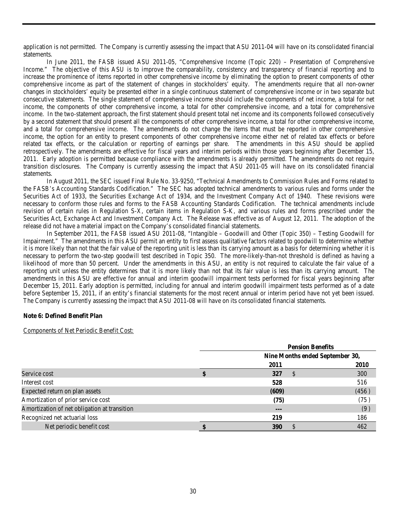application is not permitted. The Company is currently assessing the impact that ASU 2011-04 will have on its consolidated financial statements.

In June 2011, the FASB issued ASU 2011-05, "Comprehensive Income (Topic 220) – Presentation of Comprehensive Income." The objective of this ASU is to improve the comparability, consistency and transparency of financial reporting and to increase the prominence of items reported in other comprehensive income by eliminating the option to present components of other comprehensive income as part of the statement of changes in stockholders' equity. The amendments require that all non-owner changes in stockholders' equity be presented either in a single continuous statement of comprehensive income or in two separate but consecutive statements. The single statement of comprehensive income should include the components of net income, a total for net income, the components of other comprehensive income, a total for other comprehensive income, and a total for comprehensive income. In the two-statement approach, the first statement should present total net income and its components followed consecutively by a second statement that should present all the components of other comprehensive income, a total for other comprehensive income, and a total for comprehensive income. The amendments do not change the items that must be reported in other comprehensive income, the option for an entity to present components of other comprehensive income either net of related tax effects or before related tax effects, or the calculation or reporting of earnings per share. The amendments in this ASU should be applied retrospectively. The amendments are effective for fiscal years and interim periods within those years beginning after December 15, 2011. Early adoption is permitted because compliance with the amendments is already permitted. The amendments do not require transition disclosures. The Company is currently assessing the impact that ASU 2011-05 will have on its consolidated financial statements.

In August 2011, the SEC issued Final Rule No. 33-9250, "Technical Amendments to Commission Rules and Forms related to the FASB's Accounting Standards Codification." The SEC has adopted technical amendments to various rules and forms under the Securities Act of 1933, the Securities Exchange Act of 1934, and the Investment Company Act of 1940. These revisions were necessary to conform those rules and forms to the FASB Accounting Standards Codification. The technical amendments include revision of certain rules in Regulation S-X, certain items in Regulation S-K, and various rules and forms prescribed under the Securities Act, Exchange Act and Investment Company Act. The Release was effective as of August 12, 2011. The adoption of the release did not have a material impact on the Company's consolidated financial statements.

In September 2011, the FASB issued ASU 2011-08, "Intangible – Goodwill and Other (Topic 350) – Testing Goodwill for Impairment." The amendments in this ASU permit an entity to first assess qualitative factors related to goodwill to determine whether it is more likely than not that the fair value of the reporting unit is less than its carrying amount as a basis for determining whether it is necessary to perform the two-step goodwill test described in Topic 350. The more-likely-than-not threshold is defined as having a likelihood of more than 50 percent. Under the amendments in this ASU, an entity is not required to calculate the fair value of a reporting unit unless the entity determines that it is more likely than not that its fair value is less than its carrying amount. The amendments in this ASU are effective for annual and interim goodwill impairment tests performed for fiscal years beginning after December 15, 2011. Early adoption is permitted, including for annual and interim goodwill impairment tests performed as of a date before September 15, 2011, if an entity's financial statements for the most recent annual or interim period have not yet been issued. The Company is currently assessing the impact that ASU 2011-08 will have on its consolidated financial statements.

#### **Note 6: Defined Benefit Plan**

#### Components of Net Periodic Benefit Cost:

|                                              | <b>Pension Benefits</b>         |       |  |  |  |  |
|----------------------------------------------|---------------------------------|-------|--|--|--|--|
|                                              | Nine Months ended September 30, |       |  |  |  |  |
|                                              | 2011                            | 2010  |  |  |  |  |
| Service cost                                 | 327<br><b>S</b>                 | 300   |  |  |  |  |
| Interest cost                                | 528                             | 516   |  |  |  |  |
| Expected return on plan assets               | (609)                           | (456) |  |  |  |  |
| Amortization of prior service cost           | (75)                            | (75)  |  |  |  |  |
| Amortization of net obligation at transition | $\qquad \qquad \cdots$          | (9)   |  |  |  |  |
| Recognized net actuarial loss                | 219                             | 186   |  |  |  |  |
| Net periodic benefit cost                    | <b>390</b>                      | 462   |  |  |  |  |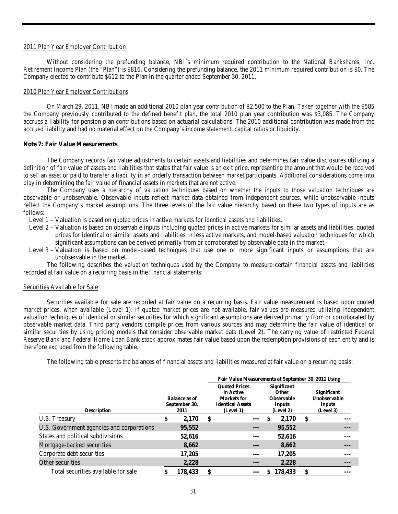#### 2011 Plan Year Employer Contribution

Without considering the prefunding balance, NBI's minimum required contribution to the National Bankshares, Inc. Retirement Income Plan (the "Plan") is \$816. Considering the prefunding balance, the 2011 minimum required contribution is \$0. The Company elected to contribute \$612 to the Plan in the quarter ended September 30, 2011.

#### 2010 Plan Year Employer Contributions

On March 29, 2011, NBI made an additional 2010 plan year contribution of \$2,500 to the Plan. Taken together with the \$585 the Company previously contributed to the defined benefit plan, the total 2010 plan year contribution was \$3,085. The Company accrues a liability for pension plan contributions based on actuarial calculations. The 2010 additional contribution was made from the accrued liability and had no material effect on the Company's income statement, capital ratios or liquidity.

#### **Note 7: Fair Value Measurements**

The Company records fair value adjustments to certain assets and liabilities and determines fair value disclosures utilizing a definition of fair value of assets and liabilities that states that fair value is an exit price, representing the amount that would be received to sell an asset or paid to transfer a liability in an orderly transaction between market participants. Additional considerations come into play in determining the fair value of financial assets in markets that are not active.

The Company uses a hierarchy of valuation techniques based on whether the inputs to those valuation techniques are observable or unobservable. Observable inputs reflect market data obtained from independent sources, while unobservable inputs reflect the Company's market assumptions. The three levels of the fair value hierarchy based on these two types of inputs are as follows:

Level 1 – Valuation is based on quoted prices in active markets for identical assets and liabilities.

- Level 2 Valuation is based on observable inputs including quoted prices in active markets for similar assets and liabilities, quoted prices for identical or similar assets and liabilities in less active markets, and model-based valuation techniques for which significant assumptions can be derived primarily from or corroborated by observable data in the market.
- Level 3 Valuation is based on model-based techniques that use one or more significant inputs or assumptions that are unobservable in the market.

The following describes the valuation techniques used by the Company to measure certain financial assets and liabilities recorded at fair value on a recurring basis in the financial statements:

#### Securities Available for Sale

Securities available for sale are recorded at fair value on a recurring basis. Fair value measurement is based upon quoted market prices, when available (Level 1). If quoted market prices are not available, fair values are measured utilizing independent valuation techniques of identical or similar securities for which significant assumptions are derived primarily from or corroborated by observable market data. Third party vendors compile prices from various sources and may determine the fair value of identical or similar securities by using pricing models that consider observable market data (Level 2). The carrying value of restricted Federal Reserve Bank and Federal Home Loan Bank stock approximates fair value based upon the redemption provisions of each entity and is therefore excluded from the following table.

The following table presents the balances of financial assets and liabilities measured at fair value on a recurring basis:

|                                           | Fair Value Measurements at September 30, 2011 Using |         |    |                                                                                          |  |                                                                                |                                                                  |     |  |  |  |
|-------------------------------------------|-----------------------------------------------------|---------|----|------------------------------------------------------------------------------------------|--|--------------------------------------------------------------------------------|------------------------------------------------------------------|-----|--|--|--|
| <b>Description</b>                        | <b>Balance as of</b><br>September 30,<br>2011       |         |    | <b>Ouoted Prices</b><br>in Active<br>Markets for<br><b>Identical Assets</b><br>(Level 1) |  | <b>Significant</b><br><b>Other</b><br><b>Observable</b><br>Inputs<br>(Level 2) | <b>Significant</b><br><b>Unobservable</b><br>Inputs<br>(Level 3) |     |  |  |  |
| U.S. Treasury                             | \$                                                  | 2,170   | \$ | $- - -$                                                                                  |  | 2,170                                                                          | \$                                                               |     |  |  |  |
| U.S. Government agencies and corporations |                                                     | 95,552  |    | $- - -$                                                                                  |  | 95,552                                                                         |                                                                  | --- |  |  |  |
| States and political subdivisions         |                                                     | 52,616  |    | $---$                                                                                    |  | 52,616                                                                         |                                                                  | --- |  |  |  |
| Mortgage-backed securities                |                                                     | 8,662   |    | $---$                                                                                    |  | 8,662                                                                          |                                                                  | --- |  |  |  |
| Corporate debt securities                 |                                                     | 17,205  |    | $- - -$                                                                                  |  | 17,205                                                                         |                                                                  | --- |  |  |  |
| Other securities                          |                                                     | 2,228   |    | $---$                                                                                    |  | 2,228                                                                          |                                                                  | --- |  |  |  |
| Total securities available for sale       |                                                     | 178,433 | \$ |                                                                                          |  | 178,433                                                                        | S                                                                |     |  |  |  |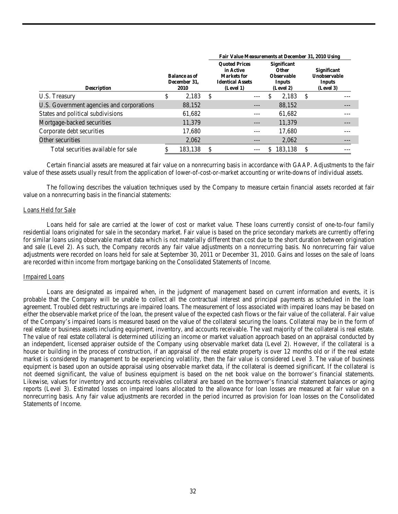|                                           |                                                     |         |    | Fair Value Measurements at December 31, 2010 Using                                              |          |                                                                                |                                                                  |     |  |  |  |  |
|-------------------------------------------|-----------------------------------------------------|---------|----|-------------------------------------------------------------------------------------------------|----------|--------------------------------------------------------------------------------|------------------------------------------------------------------|-----|--|--|--|--|
| <b>Description</b>                        | <b>Balance as of</b><br>December 31,<br><b>2010</b> |         |    | <b>Ouoted Prices</b><br>in Active<br><b>Markets</b> for<br><b>Identical Assets</b><br>(Level 1) |          | <b>Significant</b><br><b>Other</b><br><b>Observable</b><br>Inputs<br>(Level 2) | <b>Significant</b><br><b>Unobservable</b><br>Inputs<br>(Level 3) |     |  |  |  |  |
| U.S. Treasury                             | \$                                                  | 2,183   | -S |                                                                                                 | <b>S</b> | 2,183                                                                          | -S                                                               |     |  |  |  |  |
| U.S. Government agencies and corporations |                                                     | 88,152  |    |                                                                                                 |          | 88,152                                                                         |                                                                  |     |  |  |  |  |
| States and political subdivisions         |                                                     | 61,682  |    |                                                                                                 |          | 61,682                                                                         |                                                                  |     |  |  |  |  |
| Mortgage-backed securities                |                                                     | 11,379  |    | ---                                                                                             |          | 11,379                                                                         |                                                                  |     |  |  |  |  |
| Corporate debt securities                 |                                                     | 17,680  |    |                                                                                                 |          | 17,680                                                                         |                                                                  | --- |  |  |  |  |
| Other securities                          |                                                     | 2,062   |    | ---                                                                                             |          | 2,062                                                                          |                                                                  |     |  |  |  |  |
| Total securities available for sale       |                                                     | 183,138 | \$ |                                                                                                 |          | 183,138                                                                        | \$.                                                              |     |  |  |  |  |

Certain financial assets are measured at fair value on a nonrecurring basis in accordance with GAAP. Adjustments to the fair value of these assets usually result from the application of lower-of-cost-or-market accounting or write-downs of individual assets.

The following describes the valuation techniques used by the Company to measure certain financial assets recorded at fair value on a nonrecurring basis in the financial statements:

#### Loans Held for Sale

Loans held for sale are carried at the lower of cost or market value. These loans currently consist of one-to-four family residential loans originated for sale in the secondary market. Fair value is based on the price secondary markets are currently offering for similar loans using observable market data which is not materially different than cost due to the short duration between origination and sale (Level 2). As such, the Company records any fair value adjustments on a nonrecurring basis. No nonrecurring fair value adjustments were recorded on loans held for sale at September 30, 2011 or December 31, 2010. Gains and losses on the sale of loans are recorded within income from mortgage banking on the Consolidated Statements of Income.

#### Impaired Loans

Loans are designated as impaired when, in the judgment of management based on current information and events, it is probable that the Company will be unable to collect all the contractual interest and principal payments as scheduled in the loan agreement. Troubled debt restructurings are impaired loans. The measurement of loss associated with impaired loans may be based on either the observable market price of the loan, the present value of the expected cash flows or the fair value of the collateral. Fair value of the Company's impaired loans is measured based on the value of the collateral securing the loans. Collateral may be in the form of real estate or business assets including equipment, inventory, and accounts receivable. The vast majority of the collateral is real estate. The value of real estate collateral is determined utilizing an income or market valuation approach based on an appraisal conducted by an independent, licensed appraiser outside of the Company using observable market data (Level 2). However, if the collateral is a house or building in the process of construction, if an appraisal of the real estate property is over 12 months old or if the real estate market is considered by management to be experiencing volatility, then the fair value is considered Level 3. The value of business equipment is based upon an outside appraisal using observable market data, if the collateral is deemed significant. If the collateral is not deemed significant, the value of business equipment is based on the net book value on the borrower's financial statements. Likewise, values for inventory and accounts receivables collateral are based on the borrower's financial statement balances or aging reports (Level 3). Estimated losses on impaired loans allocated to the allowance for loan losses are measured at fair value on a nonrecurring basis. Any fair value adjustments are recorded in the period incurred as provision for loan losses on the Consolidated Statements of Income.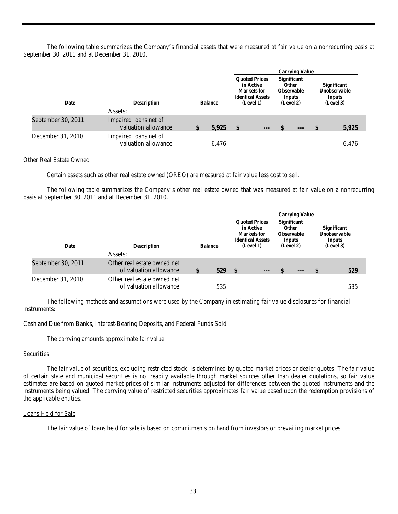The following table summarizes the Company's financial assets that were measured at fair value on a nonrecurring basis at September 30, 2011 and at December 31, 2010.

|                    |                                              |    |                                                                                          |                         |                                                                                |    | <b>Carrying Value</b>  |                                                                  |       |
|--------------------|----------------------------------------------|----|------------------------------------------------------------------------------------------|-------------------------|--------------------------------------------------------------------------------|----|------------------------|------------------------------------------------------------------|-------|
| Date               | <b>Description</b><br><b>Balance</b>         |    | <b>Ouoted Prices</b><br>in Active<br>Markets for<br><b>Identical Assets</b><br>(Level 1) |                         | <b>Significant</b><br><b>Other</b><br><b>Observable</b><br>Inputs<br>(Level 2) |    |                        | <b>Significant</b><br><b>Unobservable</b><br>Inputs<br>(Level 3) |       |
|                    | Assets:                                      |    |                                                                                          |                         |                                                                                |    |                        |                                                                  |       |
| September 30, 2011 | Impaired loans net of<br>valuation allowance | \$ | 5,925                                                                                    | $\sqrt[6]{\frac{1}{2}}$ | $- - -$                                                                        | \$ | $\qquad \qquad \cdots$ | $\mathbf{s}$                                                     | 5,925 |
| December 31, 2010  | Impaired loans net of<br>valuation allowance |    | 6.476                                                                                    |                         |                                                                                |    | ---                    |                                                                  | 6.476 |

#### Other Real Estate Owned

Certain assets such as other real estate owned (OREO) are measured at fair value less cost to sell.

The following table summarizes the Company's other real estate owned that was measured at fair value on a nonrecurring basis at September 30, 2011 and at December 31, 2010.

|                    |                                                       |                |     |                                                                                                 |                          |                                                                                | <b>Carrying Value</b> |                                                           |     |
|--------------------|-------------------------------------------------------|----------------|-----|-------------------------------------------------------------------------------------------------|--------------------------|--------------------------------------------------------------------------------|-----------------------|-----------------------------------------------------------|-----|
| Date               | <b>Description</b>                                    | <b>Balance</b> |     | <b>Ouoted Prices</b><br>in Active<br><b>Markets</b> for<br><b>Identical Assets</b><br>(Level 1) |                          | <b>Significant</b><br><b>Other</b><br><b>Observable</b><br>Inputs<br>(Level 2) |                       | <b>Significant</b><br>Unobservable<br>Inputs<br>(Level 3) |     |
|                    | Assets:                                               |                |     |                                                                                                 |                          |                                                                                |                       |                                                           |     |
| September 30, 2011 | Other real estate owned net<br>of valuation allowance | S              | 529 | - \$                                                                                            | $\overline{\phantom{a}}$ |                                                                                | $--$                  | \$                                                        | 529 |
| December 31, 2010  | Other real estate owned net<br>of valuation allowance |                | 535 |                                                                                                 |                          |                                                                                |                       |                                                           | 535 |

The following methods and assumptions were used by the Company in estimating fair value disclosures for financial instruments:

#### Cash and Due from Banks, Interest-Bearing Deposits, and Federal Funds Sold

The carrying amounts approximate fair value.

# Securities

The fair value of securities, excluding restricted stock, is determined by quoted market prices or dealer quotes. The fair value of certain state and municipal securities is not readily available through market sources other than dealer quotations, so fair value estimates are based on quoted market prices of similar instruments adjusted for differences between the quoted instruments and the instruments being valued. The carrying value of restricted securities approximates fair value based upon the redemption provisions of the applicable entities.

# Loans Held for Sale

The fair value of loans held for sale is based on commitments on hand from investors or prevailing market prices.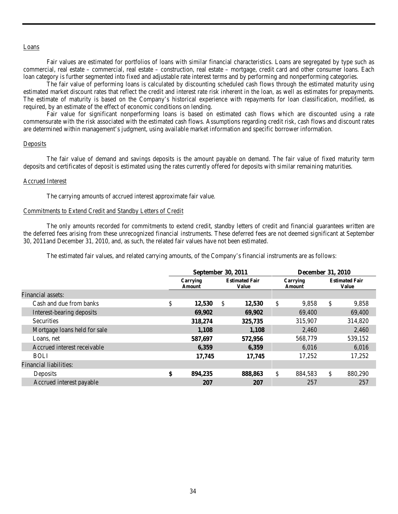#### Loans

Fair values are estimated for portfolios of loans with similar financial characteristics. Loans are segregated by type such as commercial, real estate – commercial, real estate – construction, real estate – mortgage, credit card and other consumer loans. Each loan category is further segmented into fixed and adjustable rate interest terms and by performing and nonperforming categories.

The fair value of performing loans is calculated by discounting scheduled cash flows through the estimated maturity using estimated market discount rates that reflect the credit and interest rate risk inherent in the loan, as well as estimates for prepayments. The estimate of maturity is based on the Company's historical experience with repayments for loan classification, modified, as required, by an estimate of the effect of economic conditions on lending.

Fair value for significant nonperforming loans is based on estimated cash flows which are discounted using a rate commensurate with the risk associated with the estimated cash flows. Assumptions regarding credit risk, cash flows and discount rates are determined within management's judgment, using available market information and specific borrower information.

#### Deposits

The fair value of demand and savings deposits is the amount payable on demand. The fair value of fixed maturity term deposits and certificates of deposit is estimated using the rates currently offered for deposits with similar remaining maturities.

#### Accrued Interest

The carrying amounts of accrued interest approximate fair value.

# Commitments to Extend Credit and Standby Letters of Credit

The only amounts recorded for commitments to extend credit, standby letters of credit and financial guarantees written are the deferred fees arising from these unrecognized financial instruments. These deferred fees are not deemed significant at September 30, 2011and December 31, 2010, and, as such, the related fair values have not been estimated.

The estimated fair values, and related carrying amounts, of the Company's financial instruments are as follows:

|                              | September 30, 2011                                          |    | <b>December 31, 2010</b> |    |                                       |    |         |
|------------------------------|-------------------------------------------------------------|----|--------------------------|----|---------------------------------------|----|---------|
|                              | <b>Estimated Fair</b><br>Carrying<br><b>Value</b><br>Amount |    | Carrying<br>Amount       |    | <b>Estimated Fair</b><br><b>Value</b> |    |         |
| Financial assets:            |                                                             |    |                          |    |                                       |    |         |
| Cash and due from banks      | \$<br>12,530                                                | \$ | 12,530                   | \$ | 9,858                                 | \$ | 9,858   |
| Interest-bearing deposits    | 69,902                                                      |    | 69.902                   |    | 69,400                                |    | 69,400  |
| <b>Securities</b>            | 318,274                                                     |    | 325,735                  |    | 315,907                               |    | 314,820 |
| Mortgage loans held for sale | 1,108                                                       |    | 1,108                    |    | 2,460                                 |    | 2,460   |
| Loans, net                   | 587,697                                                     |    | 572,956                  |    | 568,779                               |    | 539,152 |
| Accrued interest receivable  | 6.359                                                       |    | 6,359                    |    | 6,016                                 |    | 6,016   |
| <b>BOLI</b>                  | 17,745                                                      |    | 17,745                   |    | 17,252                                |    | 17,252  |
| Financial liabilities:       |                                                             |    |                          |    |                                       |    |         |
| Deposits                     | \$<br>894,235                                               |    | 888,863                  | \$ | 884,583                               | \$ | 880,290 |
| Accrued interest payable     | 207                                                         |    | 207                      |    | 257                                   |    | 257     |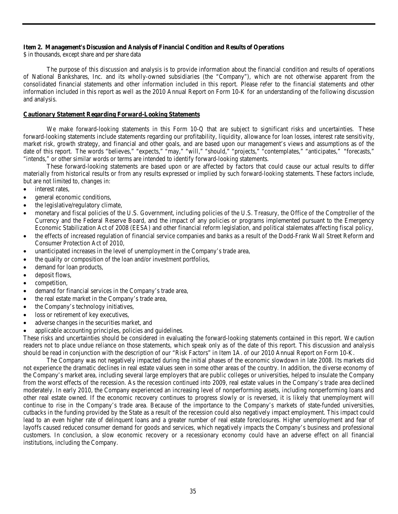## <span id="page-34-0"></span>**Item 2. Management's Discussion and Analysis of Financial Condition and Results of Operations**

\$ in thousands, except share and per share data

The purpose of this discussion and analysis is to provide information about the financial condition and results of operations of National Bankshares, Inc. and its wholly-owned subsidiaries (the "Company"), which are not otherwise apparent from the consolidated financial statements and other information included in this report. Please refer to the financial statements and other information included in this report as well as the 2010 Annual Report on Form 10-K for an understanding of the following discussion and analysis.

## **Cautionary Statement Regarding Forward-Looking Statements**

We make forward-looking statements in this Form 10-Q that are subject to significant risks and uncertainties. These forward-looking statements include statements regarding our profitability, liquidity, allowance for loan losses, interest rate sensitivity, market risk, growth strategy, and financial and other goals, and are based upon our management's views and assumptions as of the date of this report. The words "believes," "expects," "may," "will," "should," "projects," "contemplates," "anticipates," "forecasts," "intends," or other similar words or terms are intended to identify forward-looking statements.

These forward-looking statements are based upon or are affected by factors that could cause our actual results to differ materially from historical results or from any results expressed or implied by such forward-looking statements. These factors include, but are not limited to, changes in:

- interest rates,
- general economic conditions,
- the legislative/regulatory climate,
- monetary and fiscal policies of the U.S. Government, including policies of the U.S. Treasury, the Office of the Comptroller of the Currency and the Federal Reserve Board, and the impact of any policies or programs implemented pursuant to the Emergency Economic Stabilization Act of 2008 (EESA) and other financial reform legislation, and political stalemates affecting fiscal policy,
- the effects of increased regulation of financial service companies and banks as a result of the Dodd-Frank Wall Street Reform and Consumer Protection Act of 2010,
- unanticipated increases in the level of unemployment in the Company's trade area,
- the quality or composition of the loan and/or investment portfolios,
- demand for loan products,
- deposit flows,
- competition,
- demand for financial services in the Company's trade area,
- the real estate market in the Company's trade area,
- the Company's technology initiatives,
- loss or retirement of key executives,
- adverse changes in the securities market, and
- applicable accounting principles, policies and guidelines.

These risks and uncertainties should be considered in evaluating the forward-looking statements contained in this report. We caution readers not to place undue reliance on those statements, which speak only as of the date of this report. This discussion and analysis should be read in conjunction with the description of our "Risk Factors" in Item 1A. of our 2010 Annual Report on Form 10-K.

The Company was not negatively impacted during the initial phases of the economic slowdown in late 2008. Its markets did not experience the dramatic declines in real estate values seen in some other areas of the country. In addition, the diverse economy of the Company's market area, including several large employers that are public colleges or universities, helped to insulate the Company from the worst effects of the recession. As the recession continued into 2009, real estate values in the Company's trade area declined moderately. In early 2010, the Company experienced an increasing level of nonperforming assets, including nonperforming loans and other real estate owned. If the economic recovery continues to progress slowly or is reversed, it is likely that unemployment will continue to rise in the Company's trade area. Because of the importance to the Company's markets of state-funded universities, cutbacks in the funding provided by the State as a result of the recession could also negatively impact employment. This impact could lead to an even higher rate of delinquent loans and a greater number of real estate foreclosures. Higher unemployment and fear of layoffs caused reduced consumer demand for goods and services, which negatively impacts the Company's business and professional customers. In conclusion, a slow economic recovery or a recessionary economy could have an adverse effect on all financial institutions, including the Company.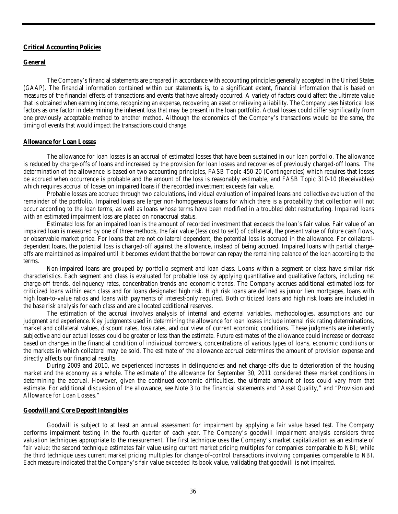#### **Critical Accounting Policies**

#### **General**

The Company's financial statements are prepared in accordance with accounting principles generally accepted in the United States (GAAP). The financial information contained within our statements is, to a significant extent, financial information that is based on measures of the financial effects of transactions and events that have already occurred. A variety of factors could affect the ultimate value that is obtained when earning income, recognizing an expense, recovering an asset or relieving a liability. The Company uses historical loss factors as one factor in determining the inherent loss that may be present in the loan portfolio. Actual losses could differ significantly from one previously acceptable method to another method. Although the economics of the Company's transactions would be the same, the timing of events that would impact the transactions could change.

#### **Allowance for Loan Losses**

The allowance for loan losses is an accrual of estimated losses that have been sustained in our loan portfolio. The allowance is reduced by charge-offs of loans and increased by the provision for loan losses and recoveries of previously charged-off loans. The determination of the allowance is based on two accounting principles, FASB Topic 450-20 (Contingencies) which requires that losses be accrued when occurrence is probable and the amount of the loss is reasonably estimable, and FASB Topic 310-10 (Receivables) which requires accrual of losses on impaired loans if the recorded investment exceeds fair value.

Probable losses are accrued through two calculations, individual evaluation of impaired loans and collective evaluation of the remainder of the portfolio. Impaired loans are larger non-homogeneous loans for which there is a probability that collection will not occur according to the loan terms, as well as loans whose terms have been modified in a troubled debt restructuring. Impaired loans with an estimated impairment loss are placed on nonaccrual status.

Estimated loss for an impaired loan is the amount of recorded investment that exceeds the loan's fair value. Fair value of an impaired loan is measured by one of three methods, the fair value (less cost to sell) of collateral, the present value of future cash flows, or observable market price. For loans that are not collateral dependent, the potential loss is accrued in the allowance. For collateraldependent loans, the potential loss is charged-off against the allowance, instead of being accrued. Impaired loans with partial chargeoffs are maintained as impaired until it becomes evident that the borrower can repay the remaining balance of the loan according to the terms.

Non-impaired loans are grouped by portfolio segment and loan class. Loans within a segment or class have similar risk characteristics. Each segment and class is evaluated for probable loss by applying quantitative and qualitative factors, including net charge-off trends, delinquency rates, concentration trends and economic trends. The Company accrues additional estimated loss for criticized loans within each class and for loans designated high risk. High risk loans are defined as junior lien mortgages, loans with high loan-to-value ratios and loans with payments of interest-only required. Both criticized loans and high risk loans are included in the base risk analysis for each class and are allocated additional reserves.

The estimation of the accrual involves analysis of internal and external variables, methodologies, assumptions and our judgment and experience. Key judgments used in determining the allowance for loan losses include internal risk rating determinations, market and collateral values, discount rates, loss rates, and our view of current economic conditions. These judgments are inherently subjective and our actual losses could be greater or less than the estimate. Future estimates of the allowance could increase or decrease based on changes in the financial condition of individual borrowers, concentrations of various types of loans, economic conditions or the markets in which collateral may be sold. The estimate of the allowance accrual determines the amount of provision expense and directly affects our financial results.

During 2009 and 2010, we experienced increases in delinquencies and net charge-offs due to deterioration of the housing market and the economy as a whole. The estimate of the allowance for September 30, 2011 considered these market conditions in determining the accrual. However, given the continued economic difficulties, the ultimate amount of loss could vary from that estimate. For additional discussion of the allowance, see Note 3 to the financial statements and "Asset Quality," and "Provision and Allowance for Loan Losses."

## **Goodwill and Core Deposit Intangibles**

Goodwill is subject to at least an annual assessment for impairment by applying a fair value based test. The Company performs impairment testing in the fourth quarter of each year. The Company's goodwill impairment analysis considers three valuation techniques appropriate to the measurement. The first technique uses the Company's market capitalization as an estimate of fair value; the second technique estimates fair value using current market pricing multiples for companies comparable to NBI; while the third technique uses current market pricing multiples for change-of-control transactions involving companies comparable to NBI. Each measure indicated that the Company's fair value exceeded its book value, validating that goodwill is not impaired.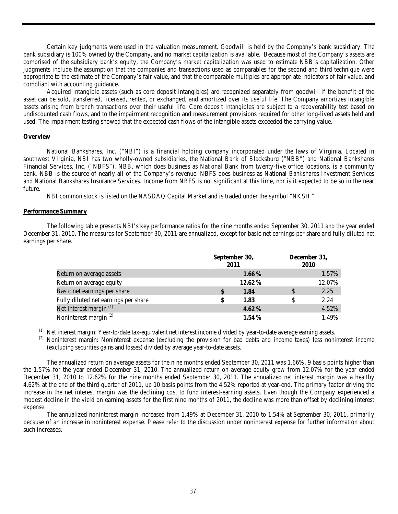Certain key judgments were used in the valuation measurement. Goodwill is held by the Company's bank subsidiary. The bank subsidiary is 100% owned by the Company, and no market capitalization is available. Because most of the Company's assets are comprised of the subsidiary bank's equity, the Company's market capitalization was used to estimate NBB's capitalization. Other judgments include the assumption that the companies and transactions used as comparables for the second and third technique were appropriate to the estimate of the Company's fair value, and that the comparable multiples are appropriate indicators of fair value, and compliant with accounting guidance.

Acquired intangible assets (such as core deposit intangibles) are recognized separately from goodwill if the benefit of the asset can be sold, transferred, licensed, rented, or exchanged, and amortized over its useful life. The Company amortizes intangible assets arising from branch transactions over their useful life. Core deposit intangibles are subject to a recoverability test based on undiscounted cash flows, and to the impairment recognition and measurement provisions required for other long-lived assets held and used. The impairment testing showed that the expected cash flows of the intangible assets exceeded the carrying value.

#### **Overview**

National Bankshares, Inc. ("NBI") is a financial holding company incorporated under the laws of Virginia. Located in southwest Virginia, NBI has two wholly-owned subsidiaries, the National Bank of Blacksburg ("NBB") and National Bankshares Financial Services, Inc. ("NBFS"). NBB, which does business as National Bank from twenty-five office locations, is a community bank. NBB is the source of nearly all of the Company's revenue. NBFS does business as National Bankshares Investment Services and National Bankshares Insurance Services. Income from NBFS is not significant at this time, nor is it expected to be so in the near future.

NBI common stock is listed on the NASDAQ Capital Market and is traded under the symbol "NKSH."

#### **Performance Summary**

The following table presents NBI's key performance ratios for the nine months ended September 30, 2011 and the year ended December 31, 2010. The measures for September 30, 2011 are annualized, except for basic net earnings per share and fully diluted net earnings per share.

|                                      | September 30,<br>2011 | December 31,<br>2010 |  |  |
|--------------------------------------|-----------------------|----------------------|--|--|
| Return on average assets             | $1.66\%$              | 1.57%                |  |  |
| Return on average equity             | 12.62 %               | 12.07%               |  |  |
| Basic net earnings per share         | \$<br>1.84            | \$<br>2.25           |  |  |
| Fully diluted net earnings per share | \$<br>1.83            | \$<br>2.24           |  |  |
| Net interest margin $(1)$            | 4.62 $%$              | 4.52%                |  |  |
| Noninterest margin <sup>(2)</sup>    | $1.54\%$              | 1.49%                |  |  |

(1) Net interest margin: Year-to-date tax-equivalent net interest income divided by year-to-date average earning assets.<br>(2) Noninterest margin: Noninterest expense (excluding the provision for bad debts and income taxes) (excluding securities gains and losses) divided by average year-to-date assets.

The annualized return on average assets for the nine months ended September 30, 2011 was 1.66%, 9 basis points higher than the 1.57% for the year ended December 31, 2010. The annualized return on average equity grew from 12.07% for the year ended December 31, 2010 to 12.62% for the nine months ended September 30, 2011. The annualized net interest margin was a healthy 4.62% at the end of the third quarter of 2011, up 10 basis points from the 4.52% reported at year-end. The primary factor driving the increase in the net interest margin was the declining cost to fund interest-earning assets. Even though the Company experienced a modest decline in the yield on earning assets for the first nine months of 2011, the decline was more than offset by declining interest expense.

The annualized noninterest margin increased from 1.49% at December 31, 2010 to 1.54% at September 30, 2011, primarily because of an increase in noninterest expense. Please refer to the discussion under noninterest expense for further information about such increases.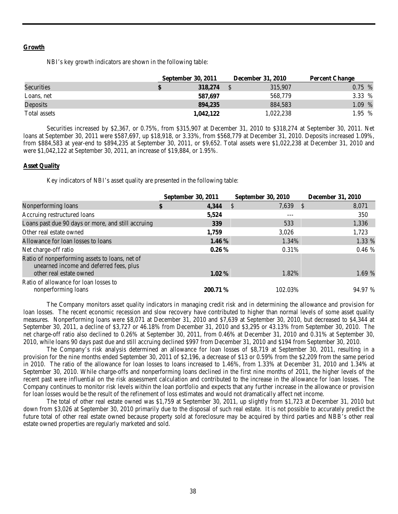# **Growth**

NBI's key growth indicators are shown in the following table:

|              | <b>September 30, 2011</b> | <b>December 31, 2010</b> | <b>Percent Change</b> |
|--------------|---------------------------|--------------------------|-----------------------|
| Securities   | 318,274                   | 315,907                  | $0.75\%$              |
| Loans, net   | 587,697                   | 568,779                  | $3.33\%$              |
| Deposits     | 894,235                   | 884.583                  | 1.09 %                |
| Total assets | 1,042,122                 | 1,022,238                | 1.95 %                |

Securities increased by \$2,367, or 0.75%, from \$315,907 at December 31, 2010 to \$318,274 at September 30, 2011. Net loans at September 30, 2011 were \$587,697, up \$18,918, or 3.33%, from \$568,779 at December 31, 2010. Deposits increased 1.09%, from \$884,583 at year-end to \$894,235 at September 30, 2011, or \$9,652. Total assets were \$1,022,238 at December 31, 2010 and were \$1,042,122 at September 30, 2011, an increase of \$19,884, or 1.95%.

#### **Asset Quality**

Key indicators of NBI's asset quality are presented in the following table:

|                                                                                                                      | <b>September 30, 2011</b> | <b>September 30, 2010</b> | <b>December 31, 2010</b> |
|----------------------------------------------------------------------------------------------------------------------|---------------------------|---------------------------|--------------------------|
| Nonperforming loans                                                                                                  | 4,344<br>S                | -\$<br>7,639 \$           | 8,071                    |
| Accruing restructured loans                                                                                          | 5,524                     | $---$                     | 350                      |
| Loans past due 90 days or more, and still accruing                                                                   | <b>339</b>                | 533                       | 1,336                    |
| Other real estate owned                                                                                              | 1,759                     | 3.026                     | 1,723                    |
| Allowance for loan losses to loans                                                                                   | 1.46 $%$                  | 1.34%                     | 1.33 %                   |
| Net charge-off ratio                                                                                                 | $0.26\%$                  | 0.31%                     | 0.46%                    |
| Ratio of nonperforming assets to loans, net of<br>unearned income and deferred fees, plus<br>other real estate owned | $1.02\%$                  | 1.82%                     | 1.69 %                   |
| Ratio of allowance for loan losses to<br>nonperforming loans                                                         | 200.71%                   | 102.03%                   | 94.97 %                  |

The Company monitors asset quality indicators in managing credit risk and in determining the allowance and provision for loan losses. The recent economic recession and slow recovery have contributed to higher than normal levels of some asset quality measures. Nonperforming loans were \$8,071 at December 31, 2010 and \$7,639 at September 30, 2010, but decreased to \$4,344 at September 30, 2011, a decline of \$3,727 or 46.18% from December 31, 2010 and \$3,295 or 43.13% from September 30, 2010. The net charge-off ratio also declined to 0.26% at September 30, 2011, from 0.46% at December 31, 2010 and 0.31% at September 30, 2010, while loans 90 days past due and still accruing declined \$997 from December 31, 2010 and \$194 from September 30, 2010.

The Company's risk analysis determined an allowance for loan losses of \$8,719 at September 30, 2011, resulting in a provision for the nine months ended September 30, 2011 of \$2,196, a decrease of \$13 or 0.59% from the \$2,209 from the same period in 2010. The ratio of the allowance for loan losses to loans increased to 1.46%, from 1.33% at December 31, 2010 and 1.34% at September 30, 2010. While charge-offs and nonperforming loans declined in the first nine months of 2011, the higher levels of the recent past were influential on the risk assessment calculation and contributed to the increase in the allowance for loan losses. The Company continues to monitor risk levels within the loan portfolio and expects that any further increase in the allowance or provision for loan losses would be the result of the refinement of loss estimates and would not dramatically affect net income.

The total of other real estate owned was \$1,759 at September 30, 2011, up slightly from \$1,723 at December 31, 2010 but down from \$3,026 at September 30, 2010 primarily due to the disposal of such real estate. It is not possible to accurately predict the future total of other real estate owned because property sold at foreclosure may be acquired by third parties and NBB's other real estate owned properties are regularly marketed and sold.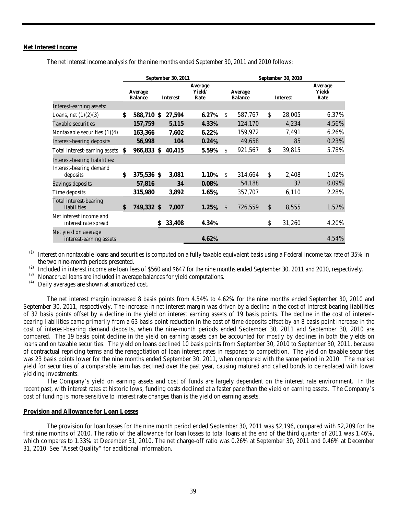#### **Net Interest Income**

|                                                 |                           | September 30, 2011 |                 |                           | September 30, 2010 |                           |    |                 |                           |
|-------------------------------------------------|---------------------------|--------------------|-----------------|---------------------------|--------------------|---------------------------|----|-----------------|---------------------------|
|                                                 | Average<br><b>Balance</b> |                    | <b>Interest</b> | Average<br>Yield/<br>Rate |                    | Average<br><b>Balance</b> |    | <b>Interest</b> | Average<br>Yield/<br>Rate |
| Interest-earning assets:                        |                           |                    |                 |                           |                    |                           |    |                 |                           |
| Loans, net $(1)(2)(3)$                          | \$<br>588,710 \$          |                    | 27,594          | $6.27\%$                  | <sup>\$</sup>      | 587,767                   | \$ | 28,005          | 6.37%                     |
| Taxable securities                              | 157,759                   |                    | 5,115           | 4.33%                     |                    | 124,170                   |    | 4,234           | 4.56%                     |
| Nontaxable securities $(1)(4)$                  | 163,366                   |                    | 7,602           | $6.22\%$                  |                    | 159,972                   |    | 7,491           | 6.26%                     |
| Interest-bearing deposits                       | 56,998                    |                    | 104             | 0.24%                     |                    | 49,658                    |    | 85              | 0.23%                     |
| Total interest-earning assets                   | \$<br>966,833 \$          |                    | 40,415          | 5.59%                     | $\mathbb{S}$       | 921,567                   | \$ | 39,815          | 5.78%                     |
| Interest-bearing liabilities:                   |                           |                    |                 |                           |                    |                           |    |                 |                           |
| Interest-bearing demand<br>deposits             | \$<br>375,536 \$          |                    | 3,081           | 1.10%                     | <sup>\$</sup>      | 314,664                   | \$ | 2,408           | 1.02%                     |
| Savings deposits                                | 57,816                    |                    | 34              | 0.08%                     |                    | 54,188                    |    | 37              | 0.09%                     |
| Time deposits                                   | 315,980                   |                    | 3,892           | $1.65\%$                  |                    | 357,707                   |    | 6,110           | 2.28%                     |
| Total interest-bearing<br>liabilities           | \$<br>749,332 \$          |                    | 7,007           | 1.25%                     | $\mathcal{S}$      | 726,559                   | \$ | 8,555           | 1.57%                     |
| Net interest income and<br>interest rate spread |                           |                    | 33,408          | 4.34%                     |                    |                           | \$ | 31,260          | 4.20%                     |
| Net yield on average<br>interest-earning assets |                           |                    |                 | 4.62%                     |                    |                           |    |                 | 4.54%                     |

The net interest income analysis for the nine months ended September 30, 2011 and 2010 follows:

 $(1)$  Interest on nontaxable loans and securities is computed on a fully taxable equivalent basis using a Federal income tax rate of 35% in the two nine-month periods presented.

(2) Included in interest income are loan fees of \$560 and \$647 for the nine months ended September 30, 2011 and 2010, respectively.<br>(3) Nonaccrual loans are included in average balances for vield computations.

(3) Nonaccrual loans are included in average balances for yield computations.<br>(4) Daily averages are shown at amortized cost

Daily averages are shown at amortized cost.

The net interest margin increased 8 basis points from 4.54% to 4.62% for the nine months ended September 30, 2010 and September 30, 2011, respectively. The increase in net interest margin was driven by a decline in the cost of interest-bearing liabilities of 32 basis points offset by a decline in the yield on interest earning assets of 19 basis points. The decline in the cost of interestbearing liabilities came primarily from a 63 basis point reduction in the cost of time deposits offset by an 8 basis point increase in the cost of interest-bearing demand deposits, when the nine-month periods ended September 30, 2011 and September 30, 2010 are compared. The 19 basis point decline in the yield on earning assets can be accounted for mostly by declines in both the yields on loans and on taxable securities. The yield on loans declined 10 basis points from September 30, 2010 to September 30, 2011, because of contractual repricing terms and the renegotiation of loan interest rates in response to competition. The yield on taxable securities was 23 basis points lower for the nine months ended September 30, 2011, when compared with the same period in 2010. The market yield for securities of a comparable term has declined over the past year, causing matured and called bonds to be replaced with lower yielding investments.

The Company's yield on earning assets and cost of funds are largely dependent on the interest rate environment. In the recent past, with interest rates at historic lows, funding costs declined at a faster pace than the yield on earning assets. The Company's cost of funding is more sensitive to interest rate changes than is the yield on earning assets.

#### **Provision and Allowance for Loan Losses**

The provision for loan losses for the nine month period ended September 30, 2011 was \$2,196, compared with \$2,209 for the first nine months of 2010. The ratio of the allowance for loan losses to total loans at the end of the third quarter of 2011 was 1.46%, which compares to 1.33% at December 31, 2010. The net charge-off ratio was 0.26% at September 30, 2011 and 0.46% at December 31, 2010. See "Asset Quality" for additional information.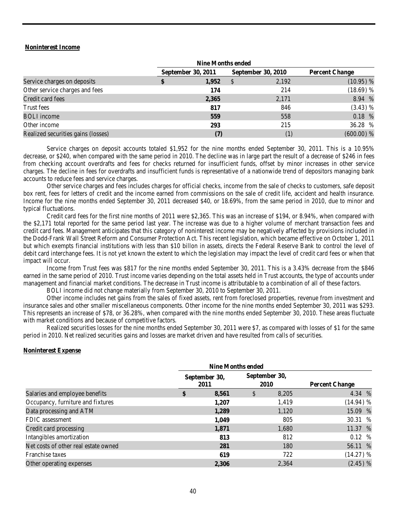#### **Noninterest Income**

|                                    |  | <b>September 30, 2011</b> |    | <b>September 30, 2010</b> | <b>Percent Change</b> |  |
|------------------------------------|--|---------------------------|----|---------------------------|-----------------------|--|
| Service charges on deposits        |  | 1,952                     | -S | 2,192                     | $(10.95)$ %           |  |
| Other service charges and fees     |  | 174                       |    | 214                       | (18.69) %             |  |
| Credit card fees                   |  | 2,365                     |    | 2,171                     | 8.94 %                |  |
| Trust fees                         |  | 817                       |    | 846                       | $(3.43)$ %            |  |
| <b>BOLI</b> income                 |  | 559                       |    | 558                       | 0.18 %                |  |
| Other income                       |  | 293                       |    | 215                       | 36.28 %               |  |
| Realized securities gains (losses) |  | (7)                       |    | (1)                       | (600.00) %            |  |

Service charges on deposit accounts totaled \$1,952 for the nine months ended September 30, 2011. This is a 10.95% decrease, or \$240, when compared with the same period in 2010. The decline was in large part the result of a decrease of \$246 in fees from checking account overdrafts and fees for checks returned for insufficient funds, offset by minor increases in other service charges. The decline in fees for overdrafts and insufficient funds is representative of a nationwide trend of depositors managing bank accounts to reduce fees and service charges.

Other service charges and fees includes charges for official checks, income from the sale of checks to customers, safe deposit box rent, fees for letters of credit and the income earned from commissions on the sale of credit life, accident and health insurance. Income for the nine months ended September 30, 2011 decreased \$40, or 18.69%, from the same period in 2010, due to minor and typical fluctuations.

Credit card fees for the first nine months of 2011 were \$2,365. This was an increase of \$194, or 8.94%, when compared with the \$2,171 total reported for the same period last year. The increase was due to a higher volume of merchant transaction fees and credit card fees. Management anticipates that this category of noninterest income may be negatively affected by provisions included in the Dodd-Frank Wall Street Reform and Consumer Protection Act. This recent legislation, which became effective on October 1, 2011 but which exempts financial institutions with less than \$10 billon in assets, directs the Federal Reserve Bank to control the level of debit card interchange fees. It is not yet known the extent to which the legislation may impact the level of credit card fees or when that impact will occur.

Income from Trust fees was \$817 for the nine months ended September 30, 2011. This is a 3.43% decrease from the \$846 earned in the same period of 2010. Trust income varies depending on the total assets held in Trust accounts, the type of accounts under management and financial market conditions. The decrease in Trust income is attributable to a combination of all of these factors.

BOLI income did not change materially from September 30, 2010 to September 30, 2011.

Other income includes net gains from the sales of fixed assets, rent from foreclosed properties, revenue from investment and insurance sales and other smaller miscellaneous components. Other income for the nine months ended September 30, 2011 was \$293. This represents an increase of \$78, or 36.28%, when compared with the nine months ended September 30, 2010. These areas fluctuate with market conditions and because of competitive factors.

Realized securities losses for the nine months ended September 30, 2011 were \$7, as compared with losses of \$1 for the same period in 2010. Net realized securities gains and losses are market driven and have resulted from calls of securities.

#### **Noninterest Expense**

|                                      | <b>Nine Months ended</b> |       |                       |       |                       |  |
|--------------------------------------|--------------------------|-------|-----------------------|-------|-----------------------|--|
|                                      | September 30,<br>2011    |       | September 30,<br>2010 |       | <b>Percent Change</b> |  |
| Salaries and employee benefits       | S                        | 8,561 | $\mathcal{S}$         | 8,205 | 4.34 %                |  |
| Occupancy, furniture and fixtures    |                          | 1,207 |                       | 1,419 | $(14.94)$ %           |  |
| Data processing and ATM              |                          | 1,289 |                       | 1,120 | 15.09 %               |  |
| FDIC assessment                      |                          | 1,049 |                       | 805   | 30.31 %               |  |
| Credit card processing               |                          | 1,871 |                       | 1,680 | 11.37 %               |  |
| Intangibles amortization             |                          | 813   |                       | 812   | 0.12 %                |  |
| Net costs of other real estate owned |                          | 281   |                       | 180   | 56.11 %               |  |
| Franchise taxes                      |                          | 619   |                       | 722   | $(14.27)$ %           |  |
| Other operating expenses             |                          | 2,306 |                       | 2,364 | $(2.45)$ %            |  |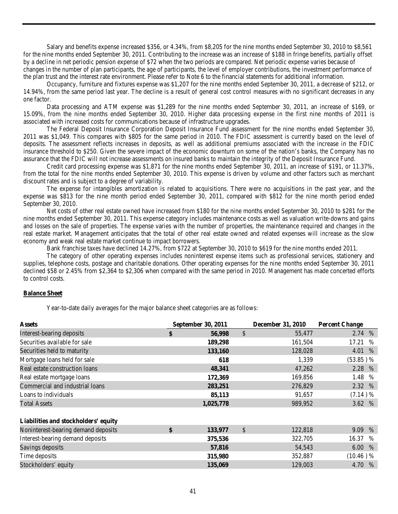Salary and benefits expense increased \$356, or 4.34%, from \$8,205 for the nine months ended September 30, 2010 to \$8,561 for the nine months ended September 30, 2011. Contributing to the increase was an increase of \$188 in fringe benefits, partially offset by a decline in net periodic pension expense of \$72 when the two periods are compared. Net periodic expense varies because of

changes in the number of plan participants, the age of participants, the level of employer contributions, the investment performance of the plan trust and the interest rate environment. Please refer to Note 6 to the financial statements for additional information.

Occupancy, furniture and fixtures expense was \$1,207 for the nine months ended September 30, 2011, a decrease of \$212, or 14.94%, from the same period last year. The decline is a result of general cost control measures with no significant decreases in any one factor.

Data processing and ATM expense was \$1,289 for the nine months ended September 30, 2011, an increase of \$169, or 15.09%, from the nine months ended September 30, 2010. Higher data processing expense in the first nine months of 2011 is associated with increased costs for communications because of infrastructure upgrades.

The Federal Deposit Insurance Corporation Deposit Insurance Fund assessment for the nine months ended September 30, 2011 was \$1,049. This compares with \$805 for the same period in 2010. The FDIC assessment is currently based on the level of deposits. The assessment reflects increases in deposits, as well as additional premiums associated with the increase in the FDIC insurance threshold to \$250. Given the severe impact of the economic downturn on some of the nation's banks, the Company has no assurance that the FDIC will not increase assessments on insured banks to maintain the integrity of the Deposit Insurance Fund.

Credit card processing expense was \$1,871 for the nine months ended September 30, 2011, an increase of \$191, or 11.37%, from the total for the nine months ended September 30, 2010. This expense is driven by volume and other factors such as merchant discount rates and is subject to a degree of variability.

The expense for intangibles amortization is related to acquisitions. There were no acquisitions in the past year, and the expense was \$813 for the nine month period ended September 30, 2011, compared with \$812 for the nine month period ended September 30, 2010.

Net costs of other real estate owned have increased from \$180 for the nine months ended September 30, 2010 to \$281 for the nine months ended September 30, 2011. This expense category includes maintenance costs as well as valuation write-downs and gains and losses on the sale of properties. The expense varies with the number of properties, the maintenance required and changes in the real estate market. Management anticipates that the total of other real estate owned and related expenses will increase as the slow economy and weak real estate market continue to impact borrowers.

Bank franchise taxes have declined 14.27%, from \$722 at September 30, 2010 to \$619 for the nine months ended 2011.

The category of other operating expenses includes noninterest expense items such as professional services, stationery and supplies, telephone costs, postage and charitable donations. Other operating expenses for the nine months ended September 30, 2011 declined \$58 or 2.45% from \$2,364 to \$2,306 when compared with the same period in 2010. Management has made concerted efforts to control costs.

# **Balance Sheet**

Year-to-date daily averages for the major balance sheet categories are as follows:

| <b>Assets</b>                        | September 30, 2011 |         | <b>December 31, 2010</b> | <b>Percent Change</b> |
|--------------------------------------|--------------------|---------|--------------------------|-----------------------|
| Interest-bearing deposits            | \$<br>56,998       | $\sqrt$ | 55,477                   | 2.74%                 |
| Securities available for sale        | 189,298            |         | 161,504                  | 17.21<br>$\%$         |
| Securities held to maturity          | 133,160            |         | 128,028                  | 4.01 %                |
| Mortgage loans held for sale         | 618                |         | 1,339                    | $(53.85)$ %           |
| Real estate construction loans       | 48,341             |         | 47,262                   | 2.28 %                |
| Real estate mortgage loans           | 172,369            |         | 169,856                  | 1.48 %                |
| Commercial and industrial loans      | 283,251            |         | 276,829                  | 2.32 %                |
| Loans to individuals                 | 85,113             |         | 91,657                   | $(7.14)$ %            |
| <b>Total Assets</b>                  | 1,025,778          |         | 989,952                  | 3.62 $%$              |
| Liabilities and stockholders' equity |                    |         |                          |                       |
| Noninterest-bearing demand deposits  | \$<br>133,977      | \$      | 122,818                  | 9.09 %                |
| Interest-bearing demand deposits     | 375,536            |         | 322,705                  | 16.37 %               |
| Savings deposits                     | 57,816             |         | 54,543                   | 6.00%                 |
| Time deposits                        | 315,980            |         | 352,887                  | $(10.46)$ %           |
| Stockholders' equity                 | 135,069            |         | 129,003                  | 4.70 %                |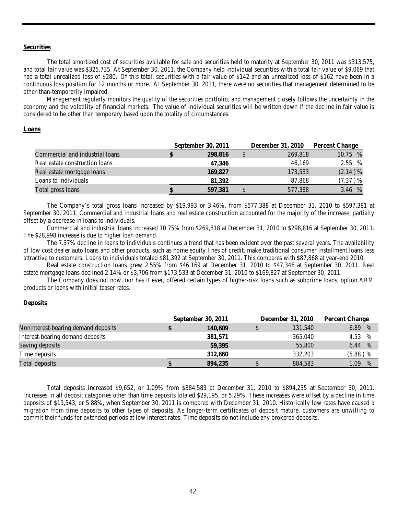#### **Securities**

The total amortized cost of securities available for sale and securities held to maturity at September 30, 2011 was \$313,575, and total fair value was \$325,735. At September 30, 2011, the Company held individual securities with a total fair value of \$9,069 that had a total unrealized loss of \$280. Of this total, securities with a fair value of \$142 and an unrealized loss of \$162 have been in a continuous loss position for 12 months or more. At September 30, 2011, there were no securities that management determined to be other-than-temporarily impaired.

Management regularly monitors the quality of the securities portfolio, and management closely follows the uncertainty in the economy and the volatility of financial markets. The value of individual securities will be written down if the decline in fair value is considered to be other than temporary based upon the totality of circumstances.

#### **Loans**

|                                 | September 30, 2011 |              | <b>December 31, 2010</b> | <b>Percent Change</b> |
|---------------------------------|--------------------|--------------|--------------------------|-----------------------|
| Commercial and industrial loans | 298,816            | $\mathbb{S}$ | 269,818                  | 10.75 %               |
| Real estate construction loans  | 47,346             |              | 46,169                   | $2.55\%$              |
| Real estate mortgage loans      | 169,827            |              | 173,533                  | $(2.14)$ %            |
| Loans to individuals            | 81.392             |              | 87,868                   | $(7.37)$ %            |
| Total gross loans               | 597,381            |              | 577,388                  | 3.46 $%$              |

The Company's total gross loans increased by \$19,993 or 3.46%, from \$577,388 at December 31, 2010 to \$597,381 at September 30, 2011. Commercial and industrial loans and real estate construction accounted for the majority of the increase, partially offset by a decrease in loans to individuals.

Commercial and industrial loans increased 10.75% from \$269,818 at December 31, 2010 to \$298,816 at September 30, 2011. The \$28,998 increase is due to higher loan demand.

The 7.37% decline in loans to individuals continues a trend that has been evident over the past several years. The availability of low cost dealer auto loans and other products, such as home equity lines of credit, make traditional consumer installment loans less attractive to customers. Loans to individuals totaled \$81,392 at September 30, 2011. This compares with \$87,868 at year-end 2010.

Real estate construction loans grew 2.55% from \$46,169 at December 31, 2010 to \$47,346 at September 30, 2011. Real estate mortgage loans declined 2.14% or \$3,706 from \$173,533 at December 31, 2010 to \$169,827 at September 30, 2011.

The Company does not now, nor has it ever, offered certain types of higher-risk loans such as subprime loans, option ARM products or loans with initial teaser rates.

#### **Deposits**

|                                     | <b>September 30, 2011</b> |         | <b>December 31, 2010</b> |         | <b>Percent Change</b> |  |
|-------------------------------------|---------------------------|---------|--------------------------|---------|-----------------------|--|
| Noninterest-bearing demand deposits |                           | 140.609 |                          | 131,540 | 6.89<br>$\%$          |  |
| Interest-bearing demand deposits    |                           | 381,571 |                          | 365,040 | 4.53 %                |  |
| Saving deposits                     |                           | 59,395  |                          | 55,800  | $6.44\%$              |  |
| Time deposits                       |                           | 312,660 |                          | 332,203 | (5.88) %              |  |
| Total deposits                      |                           | 894.235 |                          | 884,583 | 1.09<br>$\%$          |  |

Total deposits increased \$9,652, or 1.09% from \$884,583 at December 31, 2010 to \$894,235 at September 30, 2011. Increases in all deposit categories other than time deposits totaled \$29,195, or 5.29%. These increases were offset by a decline in time deposits of \$19,543, or 5.88%, when September 30, 2011 is compared with December 31, 2010. Historically low rates have caused a migration from time deposits to other types of deposits. As longer-term certificates of deposit mature, customers are unwilling to commit their funds for extended periods at low interest rates. Time deposits do not include any brokered deposits.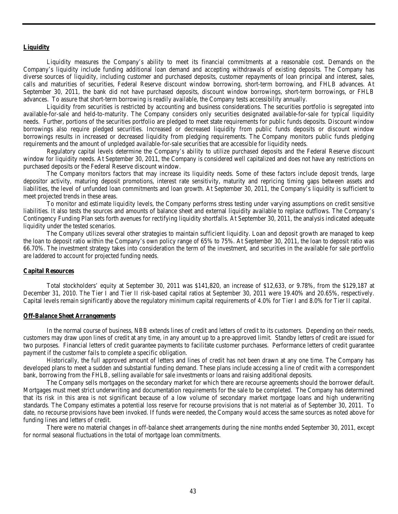#### **Liquidity**

Liquidity measures the Company's ability to meet its financial commitments at a reasonable cost. Demands on the Company's liquidity include funding additional loan demand and accepting withdrawals of existing deposits. The Company has diverse sources of liquidity, including customer and purchased deposits, customer repayments of loan principal and interest, sales, calls and maturities of securities, Federal Reserve discount window borrowing, short-term borrowing, and FHLB advances. At September 30, 2011, the bank did not have purchased deposits, discount window borrowings, short-term borrowings, or FHLB advances. To assure that short-term borrowing is readily available, the Company tests accessibility annually.

Liquidity from securities is restricted by accounting and business considerations. The securities portfolio is segregated into available-for-sale and held-to-maturity. The Company considers only securities designated available-for-sale for typical liquidity needs. Further, portions of the securities portfolio are pledged to meet state requirements for public funds deposits. Discount window borrowings also require pledged securities. Increased or decreased liquidity from public funds deposits or discount window borrowings results in increased or decreased liquidity from pledging requirements. The Company monitors public funds pledging requirements and the amount of unpledged available-for-sale securities that are accessible for liquidity needs.

Regulatory capital levels determine the Company's ability to utilize purchased deposits and the Federal Reserve discount window for liquidity needs. At September 30, 2011, the Company is considered well capitalized and does not have any restrictions on purchased deposits or the Federal Reserve discount window.

The Company monitors factors that may increase its liquidity needs. Some of these factors include deposit trends, large depositor activity, maturing deposit promotions, interest rate sensitivity, maturity and repricing timing gaps between assets and liabilities, the level of unfunded loan commitments and loan growth. At September 30, 2011, the Company's liquidity is sufficient to meet projected trends in these areas.

To monitor and estimate liquidity levels, the Company performs stress testing under varying assumptions on credit sensitive liabilities. It also tests the sources and amounts of balance sheet and external liquidity available to replace outflows. The Company's Contingency Funding Plan sets forth avenues for rectifying liquidity shortfalls. At September 30, 2011, the analysis indicated adequate liquidity under the tested scenarios.

The Company utilizes several other strategies to maintain sufficient liquidity. Loan and deposit growth are managed to keep the loan to deposit ratio within the Company's own policy range of 65% to 75%. At September 30, 2011, the loan to deposit ratio was 66.70%. The investment strategy takes into consideration the term of the investment, and securities in the available for sale portfolio are laddered to account for projected funding needs.

#### **Capital Resources**

Total stockholders' equity at September 30, 2011 was \$141,820, an increase of \$12,633, or 9.78%, from the \$129,187 at December 31, 2010. The Tier I and Tier II risk-based capital ratios at September 30, 2011 were 19.40% and 20.65%, respectively. Capital levels remain significantly above the regulatory minimum capital requirements of 4.0% for Tier I and 8.0% for Tier II capital.

#### **Off-Balance Sheet Arrangements**

In the normal course of business, NBB extends lines of credit and letters of credit to its customers. Depending on their needs, customers may draw upon lines of credit at any time, in any amount up to a pre-approved limit. Standby letters of credit are issued for two purposes. Financial letters of credit guarantee payments to facilitate customer purchases. Performance letters of credit guarantee payment if the customer fails to complete a specific obligation.

Historically, the full approved amount of letters and lines of credit has not been drawn at any one time. The Company has developed plans to meet a sudden and substantial funding demand. These plans include accessing a line of credit with a correspondent bank, borrowing from the FHLB, selling available for sale investments or loans and raising additional deposits.

The Company sells mortgages on the secondary market for which there are recourse agreements should the borrower default. Mortgages must meet strict underwriting and documentation requirements for the sale to be completed. The Company has determined that its risk in this area is not significant because of a low volume of secondary market mortgage loans and high underwriting standards. The Company estimates a potential loss reserve for recourse provisions that is not material as of September 30, 2011. To date, no recourse provisions have been invoked. If funds were needed, the Company would access the same sources as noted above for funding lines and letters of credit.

There were no material changes in off-balance sheet arrangements during the nine months ended September 30, 2011, except for normal seasonal fluctuations in the total of mortgage loan commitments.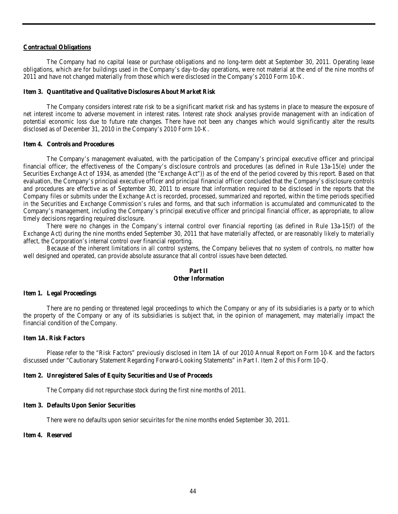#### **Contractual Obligations**

The Company had no capital lease or purchase obligations and no long-term debt at September 30, 2011. Operating lease obligations, which are for buildings used in the Company's day-to-day operations, were not material at the end of the nine months of 2011 and have not changed materially from those which were disclosed in the Company's 2010 Form 10-K.

#### <span id="page-43-0"></span>**Item 3. Quantitative and Qualitative Disclosures About Market Risk**

The Company considers interest rate risk to be a significant market risk and has systems in place to measure the exposure of net interest income to adverse movement in interest rates. Interest rate shock analyses provide management with an indication of potential economic loss due to future rate changes. There have not been any changes which would significantly alter the results disclosed as of December 31, 2010 in the Company's 2010 Form 10-K.

#### <span id="page-43-1"></span>**Item 4. Controls and Procedures**

The Company's management evaluated, with the participation of the Company's principal executive officer and principal financial officer, the effectiveness of the Company's disclosure controls and procedures (as defined in Rule 13a-15(e) under the Securities Exchange Act of 1934, as amended (the "Exchange Act")) as of the end of the period covered by this report. Based on that evaluation, the Company's principal executive officer and principal financial officer concluded that the Company's disclosure controls and procedures are effective as of September 30, 2011 to ensure that information required to be disclosed in the reports that the Company files or submits under the Exchange Act is recorded, processed, summarized and reported, within the time periods specified in the Securities and Exchange Commission's rules and forms, and that such information is accumulated and communicated to the Company's management, including the Company's principal executive officer and principal financial officer, as appropriate, to allow timely decisions regarding required disclosure.

There were no changes in the Company's internal control over financial reporting (as defined in Rule 13a-15(f) of the Exchange Act) during the nine months ended September 30, 2011 that have materially affected, or are reasonably likely to materially affect, the Corporation's internal control over financial reporting.

<span id="page-43-2"></span>Because of the inherent limitations in all control systems, the Company believes that no system of controls, no matter how well designed and operated, can provide absolute assurance that all control issues have been detected.

## **Part II Other Information**

#### <span id="page-43-3"></span>**Item 1. Legal Proceedings**

There are no pending or threatened legal proceedings to which the Company or any of its subsidiaries is a party or to which the property of the Company or any of its subsidiaries is subject that, in the opinion of management, may materially impact the financial condition of the Company.

#### <span id="page-43-4"></span>**Item 1A. Risk Factors**

Please refer to the "Risk Factors" previously disclosed in Item 1A of our 2010 Annual Report on Form 10-K and the factors discussed under "Cautionary Statement Regarding Forward-Looking Statements" in Part I. Item 2 of this Form 10-Q.

#### <span id="page-43-5"></span>**Item 2. Unregistered Sales of Equity Securities and Use of Proceeds**

The Company did not repurchase stock during the first nine months of 2011.

#### <span id="page-43-6"></span>**Item 3. Defaults Upon Senior Securities**

There were no defaults upon senior secuirites for the nine months ended September 30, 2011.

## <span id="page-43-7"></span>**Item 4. Reserved**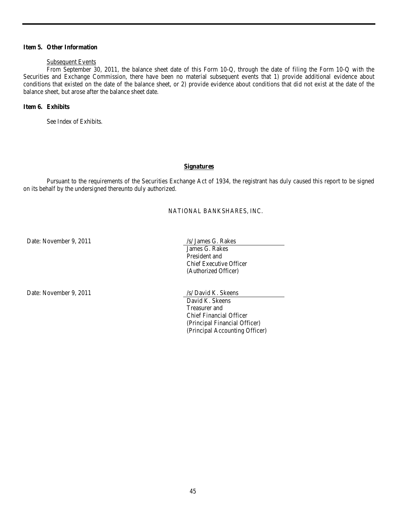# <span id="page-44-0"></span>**Item 5. Other Information**

# Subsequent Events

From September 30, 2011, the balance sheet date of this Form 10-Q, through the date of filing the Form 10-Q with the Securities and Exchange Commission, there have been no material subsequent events that 1) provide additional evidence about conditions that existed on the date of the balance sheet, or 2) provide evidence about conditions that did not exist at the date of the balance sheet, but arose after the balance sheet date.

# <span id="page-44-1"></span>**Item 6. Exhibits**

See Index of Exhibits.

#### **Signatures**

<span id="page-44-2"></span>Pursuant to the requirements of the Securities Exchange Act of 1934, the registrant has duly caused this report to be signed on its behalf by the undersigned thereunto duly authorized.

## NATIONAL BANKSHARES, INC.

Date: November 9, 2011 /s/ James G. Rakes

Date: November 9, 2011 /s/ David K. Skeens

James G. Rakes President and Chief Executive Officer (Authorized Officer)

David K. Skeens Treasurer and Chief Financial Officer (Principal Financial Officer) (Principal Accounting Officer)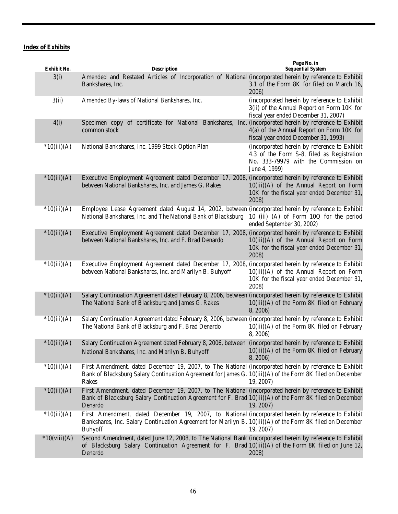# <span id="page-45-0"></span>**Index of Exhibits**

| Exhibit No.    | <b>Description</b>                                                                                                                                                                                                                | Page No. in<br><b>Sequential System</b>                                                                                                             |
|----------------|-----------------------------------------------------------------------------------------------------------------------------------------------------------------------------------------------------------------------------------|-----------------------------------------------------------------------------------------------------------------------------------------------------|
| 3(i)           | Amended and Restated Articles of Incorporation of National (incorporated herein by reference to Exhibit<br>Bankshares, Inc.                                                                                                       | 3.1 of the Form 8K for filed on March 16,<br>2006)                                                                                                  |
| 3(ii)          | Amended By-laws of National Bankshares, Inc.                                                                                                                                                                                      | (incorporated herein by reference to Exhibit<br>3(ii) of the Annual Report on Form 10K for<br>fiscal year ended December 31, 2007)                  |
| 4(i)           | Specimen copy of certificate for National Bankshares, Inc. (incorporated herein by reference to Exhibit<br>common stock                                                                                                           | 4(a) of the Annual Report on Form 10K for<br>fiscal year ended December 31, 1993)                                                                   |
| $*10(iii)(A)$  | National Bankshares, Inc. 1999 Stock Option Plan                                                                                                                                                                                  | (incorporated herein by reference to Exhibit<br>4.3 of the Form S-8, filed as Registration<br>No. 333-79979 with the Commission on<br>June 4, 1999) |
| $*10(iii)(A)$  | Executive Employment Agreement dated December 17, 2008, (incorporated herein by reference to Exhibit<br>between National Bankshares, Inc. and James G. Rakes                                                                      | 10(iii)(A) of the Annual Report on Form<br>10K for the fiscal year ended December 31,<br>2008)                                                      |
| $*10(iii)(A)$  | Employee Lease Agreement dated August 14, 2002, between (incorporated herein by reference to Exhibit<br>National Bankshares, Inc. and The National Bank of Blacksburg                                                             | 10 (iii) (A) of Form 10Q for the period<br>ended September 30, 2002)                                                                                |
| $*10(iii)(A)$  | Executive Employment Agreement dated December 17, 2008, (incorporated herein by reference to Exhibit<br>between National Bankshares, Inc. and F. Brad Denardo                                                                     | 10(iii)(A) of the Annual Report on Form<br>10K for the fiscal year ended December 31,<br>2008)                                                      |
| $*10(iii)(A)$  | Executive Employment Agreement dated December 17, 2008, (incorporated herein by reference to Exhibit<br>between National Bankshares, Inc. and Marilyn B. Buhyoff                                                                  | 10(iii)(A) of the Annual Report on Form<br>10K for the fiscal year ended December 31,<br>2008)                                                      |
| $*10(iii)(A)$  | Salary Continuation Agreement dated February 8, 2006, between (incorporated herein by reference to Exhibit<br>The National Bank of Blacksburg and James G. Rakes                                                                  | 10(iii)(A) of the Form 8K filed on February<br>8, 2006)                                                                                             |
| $*10(iii)(A)$  | Salary Continuation Agreement dated February 8, 2006, between (incorporated herein by reference to Exhibit<br>The National Bank of Blacksburg and F. Brad Denardo                                                                 | 10(iii)(A) of the Form 8K filed on February<br>8, 2006)                                                                                             |
| $*10(iii)(A)$  | Salary Continuation Agreement dated February 8, 2006, between (incorporated herein by reference to Exhibit<br>National Bankshares, Inc. and Marilyn B. Buhyoff                                                                    | $10(iii)(A)$ of the Form 8K filed on February<br>8, 2006)                                                                                           |
| $*10(iii)(A)$  | First Amendment, dated December 19, 2007, to The National (incorporated herein by reference to Exhibit<br>Bank of Blacksburg Salary Continuation Agreement for James G. 10(iii)(A) of the Form 8K filed on December<br>Rakes      | 19, 2007)                                                                                                                                           |
| $*10(iii)(A)$  | First Amendment, dated December 19, 2007, to The National (incorporated herein by reference to Exhibit<br>Bank of Blacksburg Salary Continuation Agreement for F. Brad 10(iii)(A) of the Form 8K filed on December<br>Denardo     | 19, 2007)                                                                                                                                           |
| $*10(iii)(A)$  | First Amendment, dated December 19, 2007, to National (incorporated herein by reference to Exhibit<br>Bankshares, Inc. Salary Continuation Agreement for Marilyn B. 10(iii)(A) of the Form 8K filed on December<br><b>Buhyoff</b> | 19, 2007)                                                                                                                                           |
| $*10(viii)(A)$ | Second Amendment, dated June 12, 2008, to The National Bank (incorporated herein by reference to Exhibit<br>of Blacksburg Salary Continuation Agreement for F. Brad 10(iii)(A) of the Form 8K filed on June 12,<br>Denardo        | 2008)                                                                                                                                               |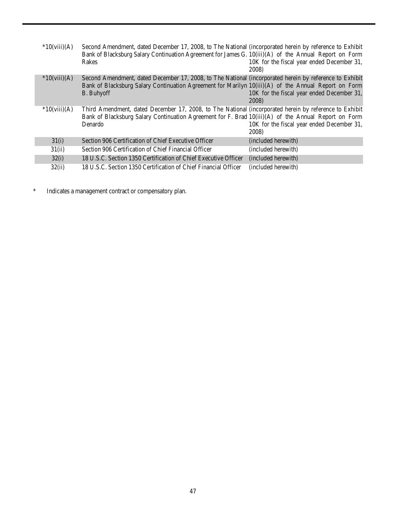| $*10(viii)(A)$ | Second Amendment, dated December 17, 2008, to The National (incorporated herein by reference to Exhibit<br>Bank of Blacksburg Salary Continuation Agreement for James G. 10(iii)(A) of the Annual Report on Form<br>Rakes            | 10K for the fiscal year ended December 31,<br>2008) |
|----------------|--------------------------------------------------------------------------------------------------------------------------------------------------------------------------------------------------------------------------------------|-----------------------------------------------------|
| $*10(viii)(A)$ | Second Amendment, dated December 17, 2008, to The National (incorporated herein by reference to Exhibit<br>Bank of Blacksburg Salary Continuation Agreement for Marilyn 10(iii)(A) of the Annual Report on Form<br><b>B.</b> Buhyoff | 10K for the fiscal year ended December 31,<br>2008) |
| $*10(viii)(A)$ | Third Amendment, dated December 17, 2008, to The National (incorporated herein by reference to Exhibit<br>Bank of Blacksburg Salary Continuation Agreement for F. Brad 10(iii)(A) of the Annual Report on Form<br>Denardo            | 10K for the fiscal year ended December 31,<br>2008) |
| 31(i)          | Section 906 Certification of Chief Executive Officer                                                                                                                                                                                 | (included herewith)                                 |
| 31(ii)         | Section 906 Certification of Chief Financial Officer                                                                                                                                                                                 | (included herewith)                                 |
| 32(i)          | 18 U.S.C. Section 1350 Certification of Chief Executive Officer                                                                                                                                                                      | (included herewith)                                 |
| 32(ii)         | 18 U.S.C. Section 1350 Certification of Chief Financial Officer                                                                                                                                                                      | (included herewith)                                 |

\* Indicates a management contract or compensatory plan.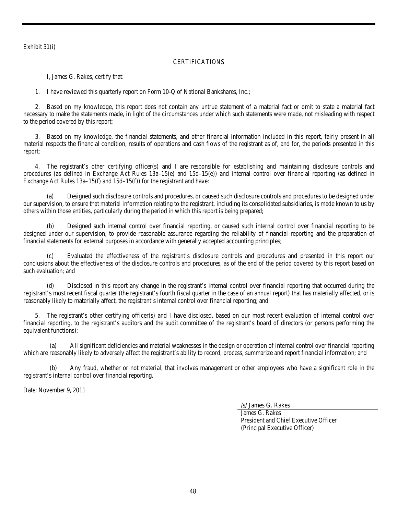<span id="page-47-0"></span>Exhibit 31(i)

# **CERTIFICATIONS**

I, James G. Rakes, certify that:

1. I have reviewed this quarterly report on Form 10-Q of National Bankshares, Inc.;

2. Based on my knowledge, this report does not contain any untrue statement of a material fact or omit to state a material fact necessary to make the statements made, in light of the circumstances under which such statements were made, not misleading with respect to the period covered by this report;

3. Based on my knowledge, the financial statements, and other financial information included in this report, fairly present in all material respects the financial condition, results of operations and cash flows of the registrant as of, and for, the periods presented in this report;

4. The registrant's other certifying officer(s) and I are responsible for establishing and maintaining disclosure controls and procedures (as defined in Exchange Act Rules 13a–15(e) and 15d–15(e)) and internal control over financial reporting (as defined in Exchange Act Rules 13a–15(f) and 15d–15(f)) for the registrant and have:

(a) Designed such disclosure controls and procedures, or caused such disclosure controls and procedures to be designed under our supervision, to ensure that material information relating to the registrant, including its consolidated subsidiaries, is made known to us by others within those entities, particularly during the period in which this report is being prepared;

(b) Designed such internal control over financial reporting, or caused such internal control over financial reporting to be designed under our supervision, to provide reasonable assurance regarding the reliability of financial reporting and the preparation of financial statements for external purposes in accordance with generally accepted accounting principles;

(c) Evaluated the effectiveness of the registrant's disclosure controls and procedures and presented in this report our conclusions about the effectiveness of the disclosure controls and procedures, as of the end of the period covered by this report based on such evaluation; and

(d) Disclosed in this report any change in the registrant's internal control over financial reporting that occurred during the registrant's most recent fiscal quarter (the registrant's fourth fiscal quarter in the case of an annual report) that has materially affected, or is reasonably likely to materially affect, the registrant's internal control over financial reporting; and

5. The registrant's other certifying officer(s) and I have disclosed, based on our most recent evaluation of internal control over financial reporting, to the registrant's auditors and the audit committee of the registrant's board of directors (or persons performing the equivalent functions):

(a) All significant deficiencies and material weaknesses in the design or operation of internal control over financial reporting which are reasonably likely to adversely affect the registrant's ability to record, process, summarize and report financial information; and

Any fraud, whether or not material, that involves management or other employees who have a significant role in the registrant's internal control over financial reporting.

Date: November 9, 2011

/s/ James G. Rakes

James G. Rakes President and Chief Executive Officer (Principal Executive Officer)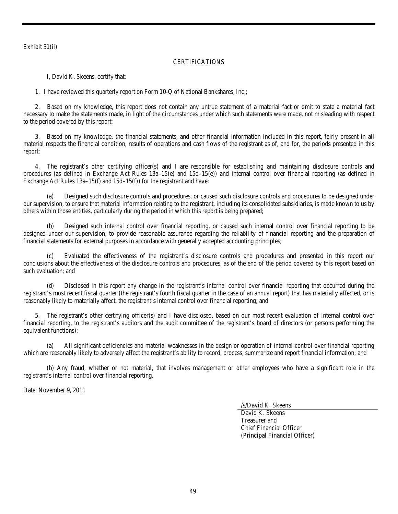Exhibit 31(ii)

## **CERTIFICATIONS**

I, David K. Skeens, certify that:

1. I have reviewed this quarterly report on Form 10-Q of National Bankshares, Inc.;

2. Based on my knowledge, this report does not contain any untrue statement of a material fact or omit to state a material fact necessary to make the statements made, in light of the circumstances under which such statements were made, not misleading with respect to the period covered by this report;

3. Based on my knowledge, the financial statements, and other financial information included in this report, fairly present in all material respects the financial condition, results of operations and cash flows of the registrant as of, and for, the periods presented in this report;

4. The registrant's other certifying officer(s) and I are responsible for establishing and maintaining disclosure controls and procedures (as defined in Exchange Act Rules 13a–15(e) and 15d–15(e)) and internal control over financial reporting (as defined in Exchange Act Rules  $13a-15(f)$  and  $15d-15(f)$  for the registrant and have:

(a) Designed such disclosure controls and procedures, or caused such disclosure controls and procedures to be designed under our supervision, to ensure that material information relating to the registrant, including its consolidated subsidiaries, is made known to us by others within those entities, particularly during the period in which this report is being prepared;

(b) Designed such internal control over financial reporting, or caused such internal control over financial reporting to be designed under our supervision, to provide reasonable assurance regarding the reliability of financial reporting and the preparation of financial statements for external purposes in accordance with generally accepted accounting principles;

Evaluated the effectiveness of the registrant's disclosure controls and procedures and presented in this report our conclusions about the effectiveness of the disclosure controls and procedures, as of the end of the period covered by this report based on such evaluation; and

Disclosed in this report any change in the registrant's internal control over financial reporting that occurred during the registrant's most recent fiscal quarter (the registrant's fourth fiscal quarter in the case of an annual report) that has materially affected, or is reasonably likely to materially affect, the registrant's internal control over financial reporting; and

5. The registrant's other certifying officer(s) and I have disclosed, based on our most recent evaluation of internal control over financial reporting, to the registrant's auditors and the audit committee of the registrant's board of directors (or persons performing the equivalent functions):

(a) All significant deficiencies and material weaknesses in the design or operation of internal control over financial reporting which are reasonably likely to adversely affect the registrant's ability to record, process, summarize and report financial information; and

(b) Any fraud, whether or not material, that involves management or other employees who have a significant role in the registrant's internal control over financial reporting.

Date: November 9, 2011

/s/David K. Skeens

David K. Skeens Treasurer and Chief Financial Officer (Principal Financial Officer)